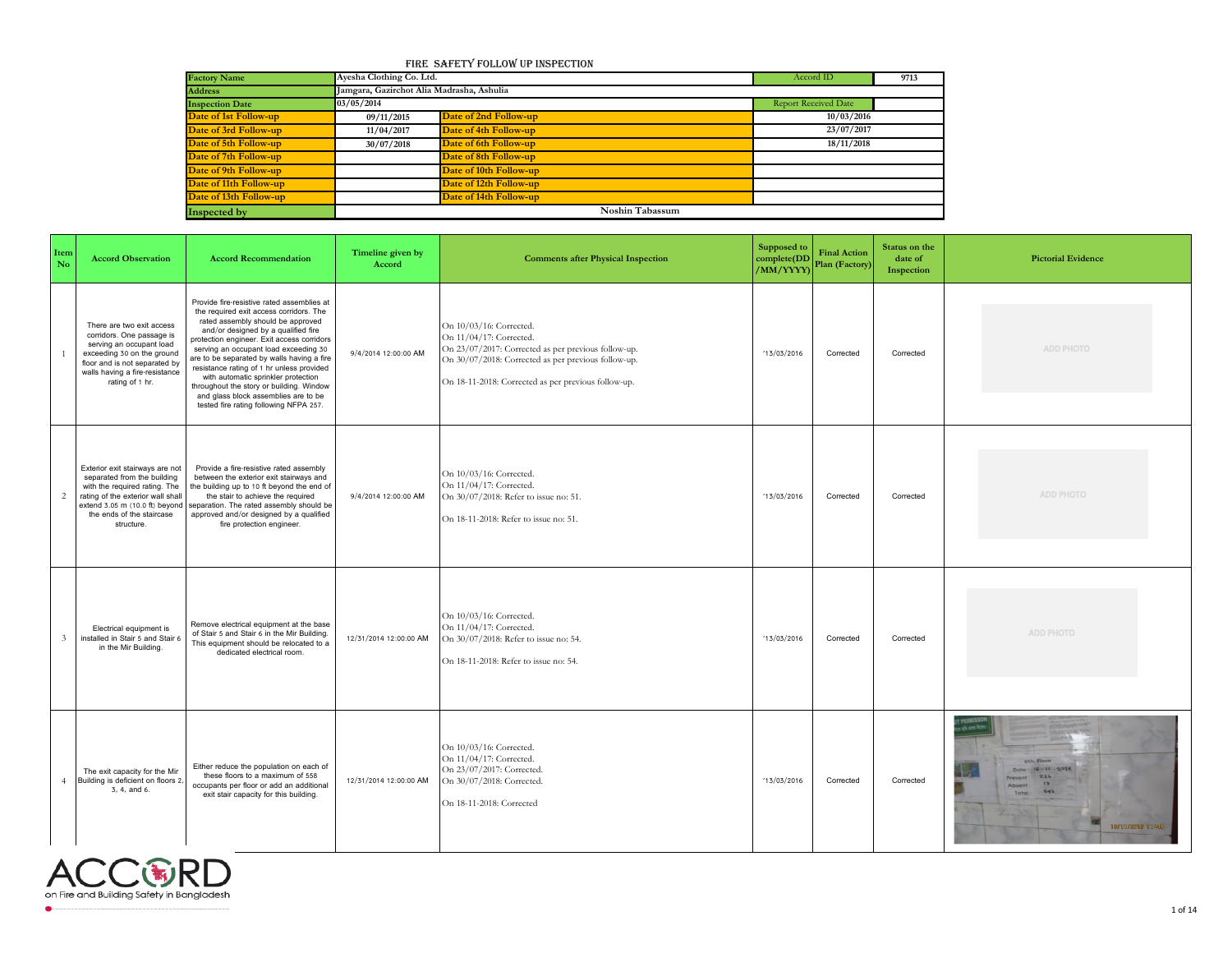## Fire Safety Follow up Inspection

| <b>Factory Name</b>    | Ayesha Clothing Co. Ltd. |                                           | Accord ID            | 9713 |  |  |  |  |  |  |
|------------------------|--------------------------|-------------------------------------------|----------------------|------|--|--|--|--|--|--|
| <b>Address</b>         |                          | Jamgara, Gazirchot Alia Madrasha, Ashulia |                      |      |  |  |  |  |  |  |
| <b>Inspection Date</b> | 03/05/2014               |                                           | Report Received Date |      |  |  |  |  |  |  |
| Date of 1st Follow-up  | 09/11/2015               | Date of 2nd Follow-up                     | 10/03/2016           |      |  |  |  |  |  |  |
| Date of 3rd Follow-up  | 11/04/2017               | Date of 4th Follow-up                     | 23/07/2017           |      |  |  |  |  |  |  |
| Date of 5th Follow-up  | 30/07/2018               | Date of 6th Follow-up                     | 18/11/2018           |      |  |  |  |  |  |  |
| Date of 7th Follow-up  |                          | Date of 8th Follow-up                     |                      |      |  |  |  |  |  |  |
| Date of 9th Follow-up  |                          | Date of 10th Follow-up                    |                      |      |  |  |  |  |  |  |
| Date of 11th Follow-up |                          | Date of 12th Follow-up                    |                      |      |  |  |  |  |  |  |
| Date of 13th Follow-up |                          | Date of 14th Follow-up                    |                      |      |  |  |  |  |  |  |
| Inspected by           |                          | Noshin Tabassum                           |                      |      |  |  |  |  |  |  |

| Item<br>No     | <b>Accord Observation</b>                                                                                                                                                                                         | <b>Accord Recommendation</b>                                                                                                                                                                                                                                                                                                                                                                                                                                                                                             | Timeline given by<br>Accord | <b>Comments after Physical Inspection</b>                                                                                                                                                                               | Supposed to<br>complete(DD<br>/MM/YYYY) | <b>Final Action</b><br>Plan (Factory) | Status on the<br>date of<br>Inspection | <b>Pictorial Evidence</b>                                                                                           |
|----------------|-------------------------------------------------------------------------------------------------------------------------------------------------------------------------------------------------------------------|--------------------------------------------------------------------------------------------------------------------------------------------------------------------------------------------------------------------------------------------------------------------------------------------------------------------------------------------------------------------------------------------------------------------------------------------------------------------------------------------------------------------------|-----------------------------|-------------------------------------------------------------------------------------------------------------------------------------------------------------------------------------------------------------------------|-----------------------------------------|---------------------------------------|----------------------------------------|---------------------------------------------------------------------------------------------------------------------|
|                | There are two exit access<br>corridors. One passage is<br>serving an occupant load<br>exceeding 30 on the ground<br>floor and is not separated by<br>walls having a fire-resistance<br>rating of 1 hr.            | Provide fire-resistive rated assemblies at<br>the required exit access corridors. The<br>rated assembly should be approved<br>and/or designed by a qualified fire<br>protection engineer. Exit access corridors<br>serving an occupant load exceeding 30<br>are to be separated by walls having a fire<br>resistance rating of 1 hr unless provided<br>with automatic sprinkler protection<br>throughout the story or building. Window<br>and glass block assemblies are to be<br>tested fire rating following NFPA 257. | 9/4/2014 12:00:00 AM        | On 10/03/16: Corrected.<br>On 11/04/17: Corrected.<br>On 23/07/2017: Corrected as per previous follow-up.<br>On 30/07/2018: Corrected as per previous follow-up.<br>On 18-11-2018: Corrected as per previous follow-up. | 13/03/2016                              | Corrected                             | Corrected                              | ADD PHOTO                                                                                                           |
| $\overline{c}$ | Exterior exit stairways are not<br>separated from the building<br>with the required rating. The<br>rating of the exterior wall shall<br>extend 3.05 m (10.0 ft) beyond<br>the ends of the staircase<br>structure. | Provide a fire-resistive rated assembly<br>between the exterior exit stairways and<br>the building up to 10 ft beyond the end of<br>the stair to achieve the required<br>separation. The rated assembly should be<br>approved and/or designed by a qualified<br>fire protection engineer.                                                                                                                                                                                                                                | 9/4/2014 12:00:00 AM        | On 10/03/16: Corrected.<br>On 11/04/17: Corrected.<br>On 30/07/2018: Refer to issue no: 51.<br>On 18-11-2018: Refer to issue no: 51.                                                                                    | '13/03/2016                             | Corrected                             | Corrected                              | ADD PHOTO                                                                                                           |
| $\mathfrak{Z}$ | Electrical equipment is<br>installed in Stair 5 and Stair 6<br>in the Mir Building.                                                                                                                               | Remove electrical equipment at the base<br>of Stair 5 and Stair 6 in the Mir Building.<br>This equipment should be relocated to a<br>dedicated electrical room.                                                                                                                                                                                                                                                                                                                                                          | 12/31/2014 12:00:00 AM      | On 10/03/16: Corrected.<br>On 11/04/17: Corrected.<br>On 30/07/2018: Refer to issue no: 54.<br>On 18-11-2018: Refer to issue no: 54.                                                                                    | 13/03/2016                              | Corrected                             | Corrected                              | ADD PHOTO                                                                                                           |
| $\overline{4}$ | The exit capacity for the Mir<br>Building is deficient on floors 2,<br>3, 4, and 6.                                                                                                                               | Either reduce the population on each of<br>these floors to a maximum of 558<br>occupants per floor or add an additional<br>exit stair capacity for this building.                                                                                                                                                                                                                                                                                                                                                        | 12/31/2014 12:00:00 AM      | On 10/03/16: Corrected.<br>On 11/04/17: Corrected.<br>On 23/07/2017: Corrected.<br>On 30/07/2018: Corrected.<br>On 18-11-2018: Corrected                                                                                | 13/03/2016                              | Corrected                             | Corrected                              | 6th, Floor<br>Date 12-11-2018<br>524<br>Fresent!<br>$\overline{17}$<br>Absent:<br>541<br>Total:<br>18/11/2010 11:48 |

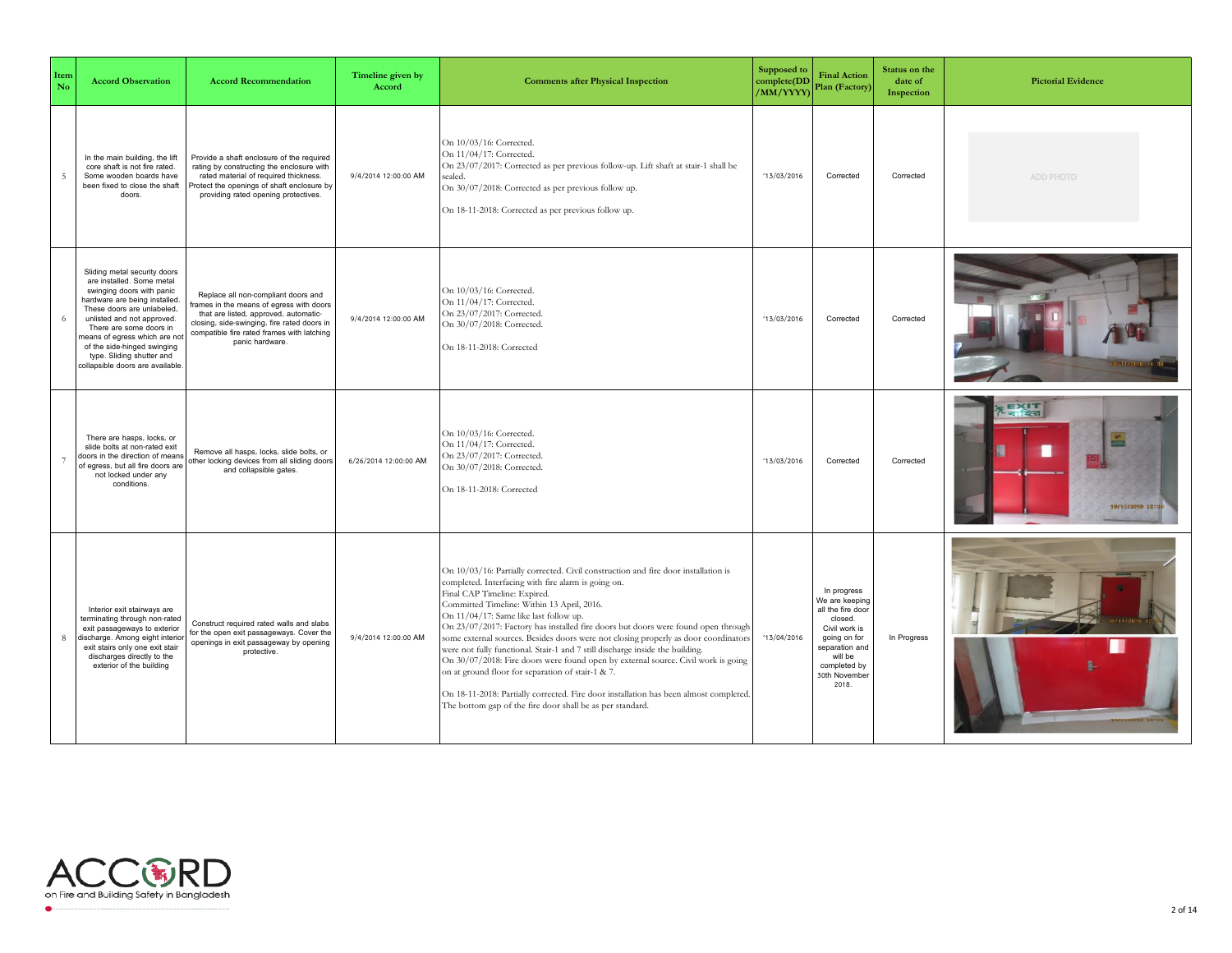| Item<br>No     | <b>Accord Observation</b>                                                                                                                                                                                                                                                                                                                       | <b>Accord Recommendation</b>                                                                                                                                                                                                            | Timeline given by<br>Accord | <b>Comments after Physical Inspection</b>                                                                                                                                                                                                                                                                                                                                                                                                                                                                                                                                                                                                                                                                                                                                                                                      | Supposed to<br>complete(DD<br>(MM/YYYY) | <b>Final Action</b><br>Plan (Factory)                                                                                                                                 | Status on the<br>date of<br>Inspection | <b>Pictorial Evidence</b>            |
|----------------|-------------------------------------------------------------------------------------------------------------------------------------------------------------------------------------------------------------------------------------------------------------------------------------------------------------------------------------------------|-----------------------------------------------------------------------------------------------------------------------------------------------------------------------------------------------------------------------------------------|-----------------------------|--------------------------------------------------------------------------------------------------------------------------------------------------------------------------------------------------------------------------------------------------------------------------------------------------------------------------------------------------------------------------------------------------------------------------------------------------------------------------------------------------------------------------------------------------------------------------------------------------------------------------------------------------------------------------------------------------------------------------------------------------------------------------------------------------------------------------------|-----------------------------------------|-----------------------------------------------------------------------------------------------------------------------------------------------------------------------|----------------------------------------|--------------------------------------|
| 5              | In the main building, the lift<br>core shaft is not fire rated.<br>Some wooden boards have<br>been fixed to close the shaft<br>doors.                                                                                                                                                                                                           | Provide a shaft enclosure of the required<br>rating by constructing the enclosure with<br>rated material of required thickness.<br>rotect the openings of shaft enclosure by<br>providing rated opening protectives.                    | 9/4/2014 12:00:00 AM        | On 10/03/16: Corrected.<br>On 11/04/17: Corrected.<br>On 23/07/2017: Corrected as per previous follow-up. Lift shaft at stair-1 shall be<br>sealed.<br>On 30/07/2018: Corrected as per previous follow up.<br>On 18-11-2018: Corrected as per previous follow up.                                                                                                                                                                                                                                                                                                                                                                                                                                                                                                                                                              | 13/03/2016                              | Corrected                                                                                                                                                             | Corrected                              | ADD PHOTO                            |
| 6              | Sliding metal security doors<br>are installed. Some metal<br>swinging doors with panic<br>hardware are being installed.<br>These doors are unlabeled,<br>unlisted and not approved.<br>There are some doors in<br>means of egress which are not<br>of the side-hinged swinging<br>type. Sliding shutter and<br>collapsible doors are available. | Replace all non-compliant doors and<br>rames in the means of egress with doors<br>that are listed, approved, automatic-<br>closing, side-swinging, fire rated doors in<br>compatible fire rated frames with latching<br>panic hardware. | 9/4/2014 12:00:00 AM        | On 10/03/16: Corrected.<br>On 11/04/17: Corrected.<br>On 23/07/2017: Corrected.<br>On 30/07/2018: Corrected.<br>On 18-11-2018: Corrected                                                                                                                                                                                                                                                                                                                                                                                                                                                                                                                                                                                                                                                                                       | 13/03/2016                              | Corrected                                                                                                                                                             | Corrected                              |                                      |
| $\overline{7}$ | There are hasps, locks, or<br>slide bolts at non-rated exit<br>doors in the direction of means<br>of egress, but all fire doors are<br>not locked under any<br>conditions.                                                                                                                                                                      | Remove all hasps, locks, slide bolts, or<br>other locking devices from all sliding doors<br>and collapsible gates.                                                                                                                      | 6/26/2014 12:00:00 AM       | On 10/03/16: Corrected.<br>On 11/04/17: Corrected.<br>On 23/07/2017: Corrected.<br>On 30/07/2018: Corrected.<br>On 18-11-2018: Corrected                                                                                                                                                                                                                                                                                                                                                                                                                                                                                                                                                                                                                                                                                       | 13/03/2016                              | Corrected                                                                                                                                                             | Corrected                              | <b>EXIT</b><br>£,<br>18/11/2019 12:1 |
| 8              | Interior exit stairways are<br>terminating through non-rated<br>exit passageways to exterior<br>discharge. Among eight interior<br>exit stairs only one exit stair<br>discharges directly to the<br>exterior of the building                                                                                                                    | Construct required rated walls and slabs<br>for the open exit passageways. Cover the<br>openings in exit passageway by opening<br>protective.                                                                                           | 9/4/2014 12:00:00 AM        | On 10/03/16: Partially corrected. Civil construction and fire door installation is<br>completed. Interfacing with fire alarm is going on.<br>Final CAP Timeline: Expired.<br>Committed Timeline: Within 13 April, 2016.<br>On 11/04/17: Same like last follow up.<br>On 23/07/2017: Factory has installed fire doors but doors were found open through<br>some external sources. Besides doors were not closing properly as door coordinators<br>were not fully functional. Stair-1 and 7 still discharge inside the building.<br>On 30/07/2018: Fire doors were found open by external source. Civil work is going<br>on at ground floor for separation of stair-1 & 7.<br>On 18-11-2018: Partially corrected. Fire door installation has been almost completed.<br>The bottom gap of the fire door shall be as per standard. | 13/04/2016                              | In progress<br>We are keeping<br>all the fire door<br>closed.<br>Civil work is<br>going on for<br>separation and<br>will be<br>completed by<br>30th November<br>2018. | In Progress                            |                                      |

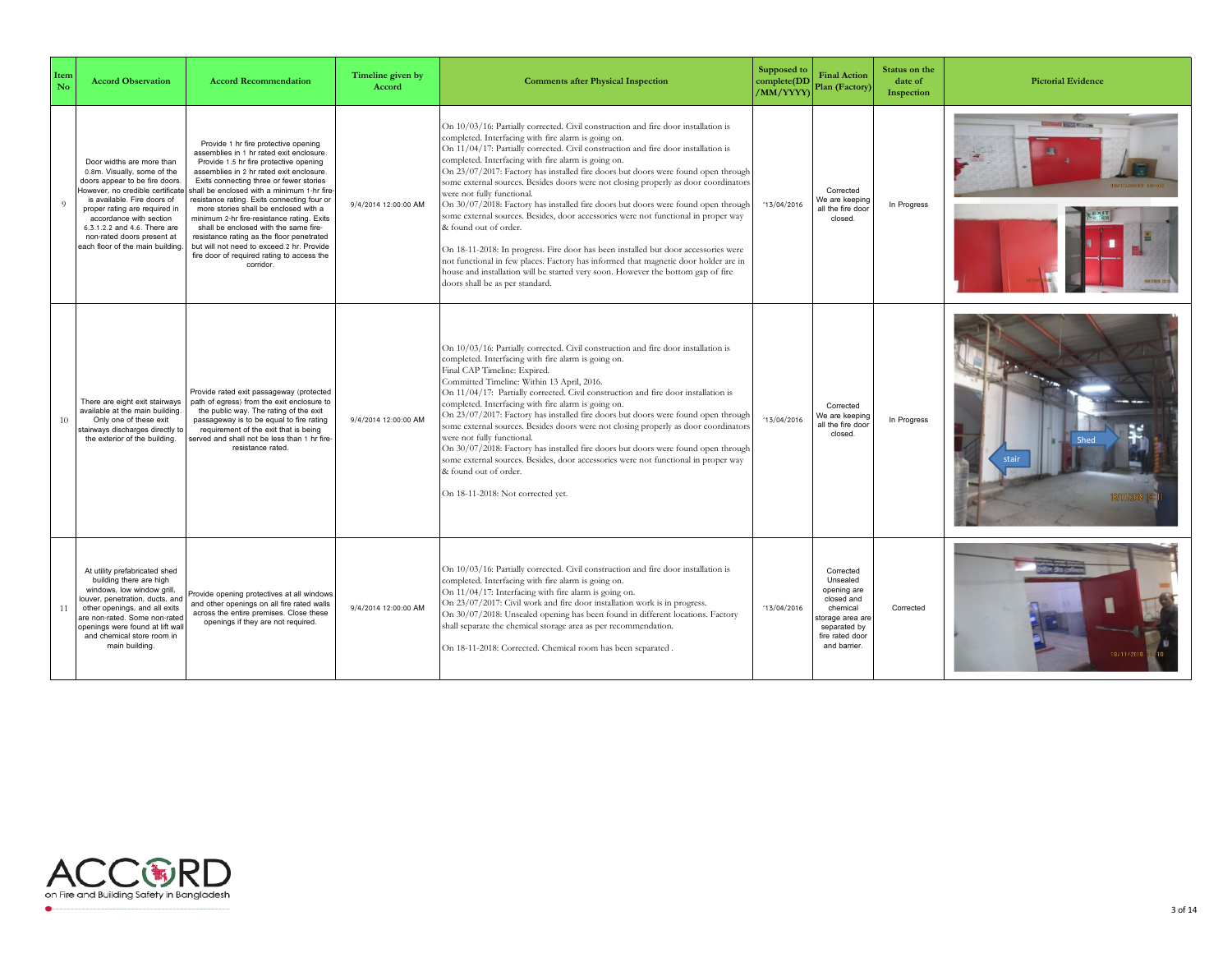| Item<br>No | <b>Accord Observation</b>                                                                                                                                                                                                                                                                                                   | <b>Accord Recommendation</b>                                                                                                                                                                                                                                                                                                                                                                                                                                                                                                                                                                        | Timeline given by<br>Accord | <b>Comments after Physical Inspection</b>                                                                                                                                                                                                                                                                                                                                                                                                                                                                                                                                                                                                                                                                                                                                                                                                                                                                                                                                                                | Supposed to<br>complete(DD<br>/MM/YYYY) | <b>Final Action</b><br>Plan (Factory)                                                                                                | Status on the<br>date of<br>Inspection | <b>Pictorial Evidence</b>     |
|------------|-----------------------------------------------------------------------------------------------------------------------------------------------------------------------------------------------------------------------------------------------------------------------------------------------------------------------------|-----------------------------------------------------------------------------------------------------------------------------------------------------------------------------------------------------------------------------------------------------------------------------------------------------------------------------------------------------------------------------------------------------------------------------------------------------------------------------------------------------------------------------------------------------------------------------------------------------|-----------------------------|----------------------------------------------------------------------------------------------------------------------------------------------------------------------------------------------------------------------------------------------------------------------------------------------------------------------------------------------------------------------------------------------------------------------------------------------------------------------------------------------------------------------------------------------------------------------------------------------------------------------------------------------------------------------------------------------------------------------------------------------------------------------------------------------------------------------------------------------------------------------------------------------------------------------------------------------------------------------------------------------------------|-----------------------------------------|--------------------------------------------------------------------------------------------------------------------------------------|----------------------------------------|-------------------------------|
| 9          | Door widths are more than<br>0.8m. Visually, some of the<br>doors appear to be fire doors.<br>However, no credible certificate<br>is available. Fire doors of<br>proper rating are required in<br>accordance with section<br>6.3.1.2.2 and 4.6. There are<br>non-rated doors present at<br>each floor of the main building. | Provide 1 hr fire protective opening<br>assemblies in 1 hr rated exit enclosure.<br>Provide 1.5 hr fire protective opening<br>assemblies in 2 hr rated exit enclosure.<br>Exits connecting three or fewer stories<br>shall be enclosed with a minimum 1-hr fire<br>resistance rating. Exits connecting four or<br>more stories shall be enclosed with a<br>minimum 2-hr fire-resistance rating. Exits<br>shall be enclosed with the same fire-<br>resistance rating as the floor penetrated<br>but will not need to exceed 2 hr. Provide<br>fire door of required rating to access the<br>corridor. | 9/4/2014 12:00:00 AM        | On 10/03/16: Partially corrected. Civil construction and fire door installation is<br>completed. Interfacing with fire alarm is going on.<br>On 11/04/17: Partially corrected. Civil construction and fire door installation is<br>completed. Interfacing with fire alarm is going on.<br>On 23/07/2017: Factory has installed fire doors but doors were found open through<br>some external sources. Besides doors were not closing properly as door coordinators<br>were not fully functional.<br>On 30/07/2018: Factory has installed fire doors but doors were found open through<br>some external sources. Besides, door accessories were not functional in proper way<br>& found out of order.<br>On 18-11-2018: In progress. Fire door has been installed but door accessories were<br>not functional in few places. Factory has informed that magnetic door holder are in<br>house and installation will be started very soon. However the bottom gap of fire<br>doors shall be as per standard. | 13/04/2016                              | Corrected<br>Ve are keeping<br>all the fire door<br>closed                                                                           | In Progress                            | <b>Continued books are an</b> |
| 10         | There are eight exit stairways<br>available at the main building.<br>Only one of these exit<br>stairways discharges directly to<br>the exterior of the building.                                                                                                                                                            | Provide rated exit passageway (protected<br>path of egress) from the exit enclosure to<br>the public way. The rating of the exit<br>passageway is to be equal to fire rating<br>requirement of the exit that is being<br>erved and shall not be less than 1 hr fire-<br>resistance rated.                                                                                                                                                                                                                                                                                                           | 9/4/2014 12:00:00 AM        | On 10/03/16: Partially corrected. Civil construction and fire door installation is<br>completed. Interfacing with fire alarm is going on.<br>Final CAP Timeline: Expired.<br>Committed Timeline: Within 13 April, 2016.<br>On 11/04/17: Partially corrected. Civil construction and fire door installation is<br>completed. Interfacing with fire alarm is going on.<br>On 23/07/2017: Factory has installed fire doors but doors were found open through<br>some external sources. Besides doors were not closing properly as door coordinators<br>were not fully functional.<br>On 30/07/2018: Factory has installed fire doors but doors were found open through<br>some external sources. Besides, door accessories were not functional in proper way<br>& found out of order.<br>On 18-11-2018: Not corrected yet.                                                                                                                                                                                  | 13/04/2016                              | Corrected<br>Ve are keeping<br>all the fire door<br>closed                                                                           | In Progress                            |                               |
| 11         | At utility prefabricated shed<br>building there are high<br>windows, low window grill,<br>louver, penetration, ducts, and<br>other openings, and all exits<br>are non-rated. Some non-rated<br>openings were found at lift wall<br>and chemical store room in<br>main building                                              | Provide opening protectives at all windows<br>and other openings on all fire rated walls<br>across the entire premises. Close these<br>openings if they are not required.                                                                                                                                                                                                                                                                                                                                                                                                                           | 9/4/2014 12:00:00 AM        | On 10/03/16: Partially corrected. Civil construction and fire door installation is<br>completed. Interfacing with fire alarm is going on.<br>On 11/04/17: Interfacing with fire alarm is going on.<br>On 23/07/2017: Civil work and fire door installation work is in progress.<br>On 30/07/2018: Unsealed opening has been found in different locations. Factory<br>shall separate the chemical storage area as per recommendation.<br>On 18-11-2018: Corrected. Chemical room has been separated .                                                                                                                                                                                                                                                                                                                                                                                                                                                                                                     | '13/04/2016                             | Corrected<br>Unsealed<br>opening are<br>closed and<br>chemical<br>torage area are<br>separated by<br>fire rated door<br>and barrier. | Corrected                              | 18/11/2011                    |

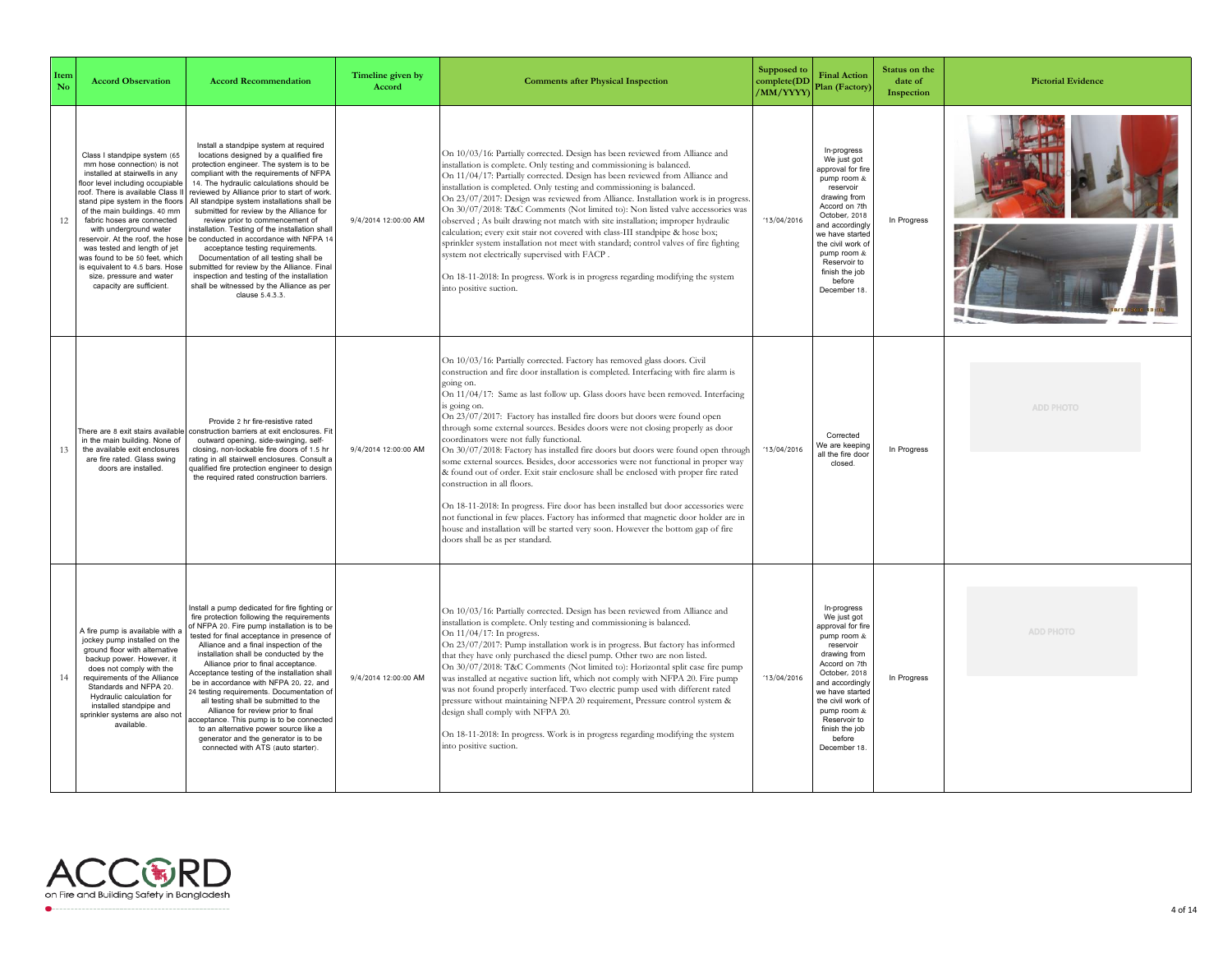| Item<br>No | <b>Accord Observation</b>                                                                                                                                                                                                                                                                                                                                                                                                                                                                       | <b>Accord Recommendation</b>                                                                                                                                                                                                                                                                                                                                                                                                                                                                                                                                                                                                                                                                                                           | Timeline given by<br>Accord | <b>Comments after Physical Inspection</b>                                                                                                                                                                                                                                                                                                                                                                                                                                                                                                                                                                                                                                                                                                                                                                                                                                                                                                                                                                                                                                                       | Supposed to<br>complete(DD<br>/MM/YYYY) | <b>Final Action</b><br>Plan (Factory)                                                                                                                                                                                                                               | Status on the<br>date of<br>Inspection | <b>Pictorial Evidence</b> |
|------------|-------------------------------------------------------------------------------------------------------------------------------------------------------------------------------------------------------------------------------------------------------------------------------------------------------------------------------------------------------------------------------------------------------------------------------------------------------------------------------------------------|----------------------------------------------------------------------------------------------------------------------------------------------------------------------------------------------------------------------------------------------------------------------------------------------------------------------------------------------------------------------------------------------------------------------------------------------------------------------------------------------------------------------------------------------------------------------------------------------------------------------------------------------------------------------------------------------------------------------------------------|-----------------------------|-------------------------------------------------------------------------------------------------------------------------------------------------------------------------------------------------------------------------------------------------------------------------------------------------------------------------------------------------------------------------------------------------------------------------------------------------------------------------------------------------------------------------------------------------------------------------------------------------------------------------------------------------------------------------------------------------------------------------------------------------------------------------------------------------------------------------------------------------------------------------------------------------------------------------------------------------------------------------------------------------------------------------------------------------------------------------------------------------|-----------------------------------------|---------------------------------------------------------------------------------------------------------------------------------------------------------------------------------------------------------------------------------------------------------------------|----------------------------------------|---------------------------|
| 12         | Class I standpipe system (65<br>mm hose connection) is not<br>installed at stairwells in any<br>floor level including occupiable<br>roof. There is available Class I<br>stand pipe system in the floors<br>of the main buildings. 40 mm<br>fabric hoses are connected<br>with underground water<br>reservoir. At the roof, the hose<br>was tested and length of jet<br>was found to be 50 feet, which<br>s equivalent to 4.5 bars. Hose<br>size, pressure and water<br>capacity are sufficient. | Install a standpipe system at required<br>locations designed by a qualified fire<br>protection engineer. The system is to be<br>compliant with the requirements of NFPA<br>14. The hydraulic calculations should be<br>reviewed by Alliance prior to start of work<br>All standpipe system installations shall be<br>submitted for review by the Alliance for<br>review prior to commencement of<br>nstallation. Testing of the installation shall<br>be conducted in accordance with NFPA 14<br>acceptance testing requirements.<br>Documentation of all testing shall be<br>submitted for review by the Alliance. Fina<br>inspection and testing of the installation<br>shall be witnessed by the Alliance as per<br>clause 5.4.3.3. | 9/4/2014 12:00:00 AM        | On 10/03/16: Partially corrected. Design has been reviewed from Alliance and<br>installation is complete. Only testing and commissioning is balanced.<br>On 11/04/17: Partially corrected. Design has been reviewed from Alliance and<br>installation is completed. Only testing and commissioning is balanced.<br>On 23/07/2017: Design was reviewed from Alliance. Installation work is in progress<br>On 30/07/2018: T&C Comments (Not limited to): Non listed valve accessories was<br>observed; As built drawing not match with site installation; improper hydraulic<br>calculation; every exit stair not covered with class-III standpipe & hose box;<br>sprinkler system installation not meet with standard; control valves of fire fighting<br>system not electrically supervised with FACP.<br>On 18-11-2018: In progress. Work is in progress regarding modifying the system<br>into positive suction.                                                                                                                                                                              | 13/04/2016                              | In-progress<br>We just got<br>approval for fire<br>pump room &<br>reservoir<br>drawing from<br>Accord on 7th<br>October, 2018<br>and accordingly<br>we have started<br>the civil work of<br>pump room &<br>Reservoir to<br>finish the job<br>before<br>December 18. | In Progress                            |                           |
| 13         | There are 8 exit stairs available<br>in the main building. None of<br>the available exit enclosures<br>are fire rated. Glass swing<br>doors are installed.                                                                                                                                                                                                                                                                                                                                      | Provide 2 hr fire-resistive rated<br>construction barriers at exit enclosures. Fit<br>outward opening, side-swinging, self-<br>closing, non-lockable fire doors of 1.5 hr<br>rating in all stairwell enclosures. Consult a<br>qualified fire protection engineer to design<br>the required rated construction barriers.                                                                                                                                                                                                                                                                                                                                                                                                                | 9/4/2014 12:00:00 AM        | On 10/03/16: Partially corrected. Factory has removed glass doors. Civil<br>construction and fire door installation is completed. Interfacing with fire alarm is<br>going on.<br>On 11/04/17: Same as last follow up. Glass doors have been removed. Interfacing<br>is going on.<br>On 23/07/2017: Factory has installed fire doors but doors were found open<br>through some external sources. Besides doors were not closing properly as door<br>coordinators were not fully functional.<br>On 30/07/2018: Factory has installed fire doors but doors were found open through<br>some external sources. Besides, door accessories were not functional in proper way<br>& found out of order. Exit stair enclosure shall be enclosed with proper fire rated<br>construction in all floors.<br>On 18-11-2018: In progress. Fire door has been installed but door accessories were<br>not functional in few places. Factory has informed that magnetic door holder are in<br>house and installation will be started very soon. However the bottom gap of fire<br>doors shall be as per standard. | 13/04/2016                              | Corrected<br>We are keeping<br>all the fire door<br>closed.                                                                                                                                                                                                         | In Progress                            | ADD PHOTO                 |
| 14         | A fire pump is available with a<br>jockey pump installed on the<br>ground floor with alternative<br>backup power. However, it<br>does not comply with the<br>requirements of the Alliance<br>Standards and NFPA 20.<br>Hydraulic calculation for<br>installed standpipe and<br>sprinkler systems are also not<br>available.                                                                                                                                                                     | Install a pump dedicated for fire fighting or<br>fire protection following the requirements<br>of NFPA 20. Fire pump installation is to be<br>tested for final acceptance in presence of<br>Alliance and a final inspection of the<br>installation shall be conducted by the<br>Alliance prior to final acceptance.<br>cceptance testing of the installation shall<br>be in accordance with NFPA 20, 22, and<br>4 testing requirements. Documentation of<br>all testing shall be submitted to the<br>Alliance for review prior to final<br>cceptance. This pump is to be connected<br>to an alternative power source like a<br>generator and the generator is to be<br>connected with ATS (auto starter).                              | 9/4/2014 12:00:00 AM        | On 10/03/16: Partially corrected. Design has been reviewed from Alliance and<br>installation is complete. Only testing and commissioning is balanced.<br>On 11/04/17: In progress.<br>On 23/07/2017: Pump installation work is in progress. But factory has informed<br>that they have only purchased the diesel pump. Other two are non listed.<br>On 30/07/2018: T&C Comments (Not limited to): Horizontal split case fire pump<br>was installed at negative suction lift, which not comply with NFPA 20. Fire pump<br>was not found properly interfaced. Two electric pump used with different rated<br>pressure without maintaining NFPA 20 requirement, Pressure control system &<br>design shall comply with NFPA 20.<br>On 18-11-2018: In progress. Work is in progress regarding modifying the system<br>into positive suction.                                                                                                                                                                                                                                                         | 13/04/2016                              | In-progress<br>We just got<br>approval for fire<br>pump room &<br>reservoir<br>drawing from<br>Accord on 7th<br>October, 2018<br>and accordingly<br>we have started<br>the civil work of<br>pump room &<br>Reservoir to<br>finish the job<br>before<br>December 18  | In Progress                            | ADD PHOTO                 |

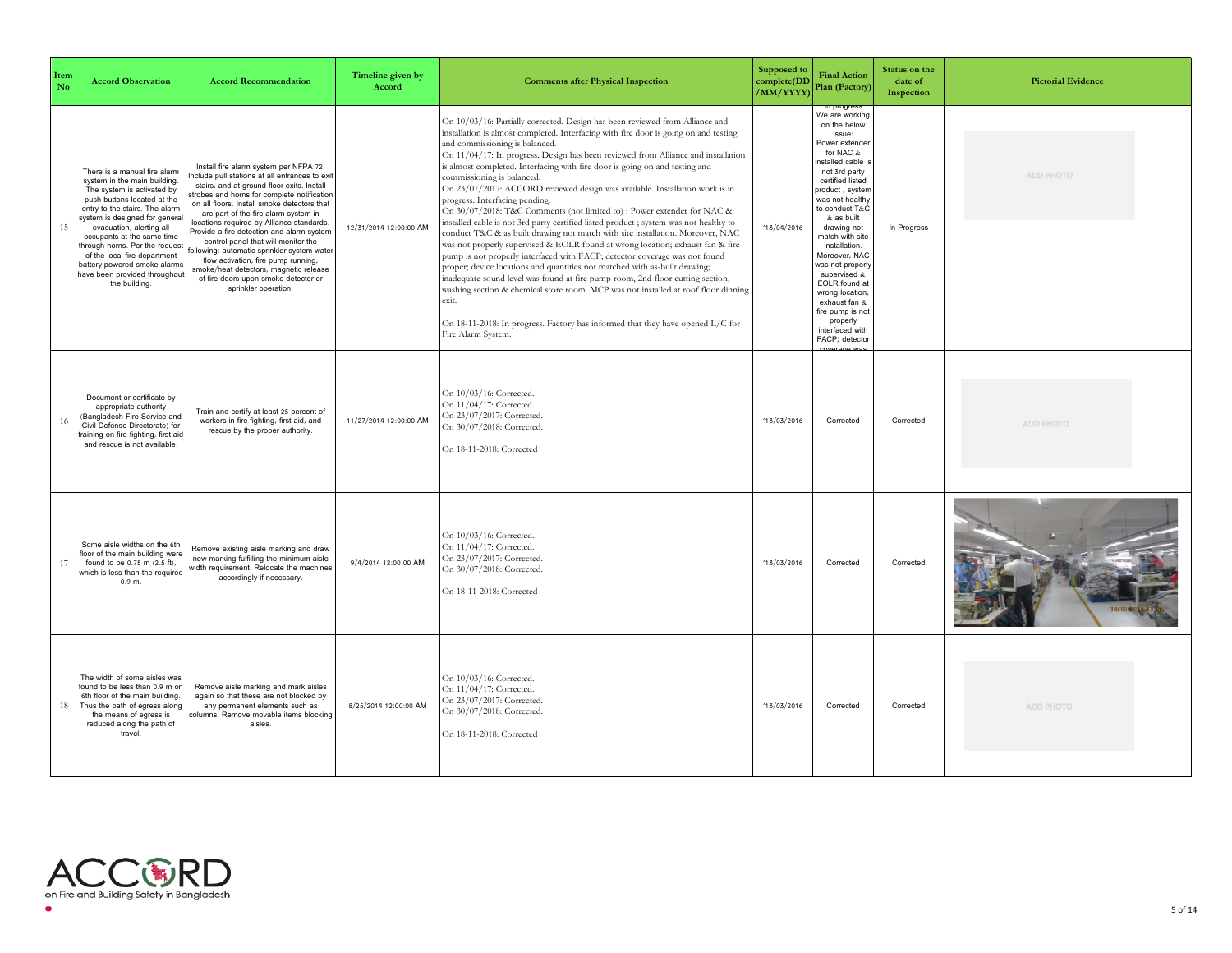| Item<br>No | <b>Accord Observation</b>                                                                                                                                                                                                                                                                                                                                                                                   | <b>Accord Recommendation</b>                                                                                                                                                                                                                                                                                                                                                                                                                                                                                                                                                                               | Timeline given by<br>Accord | <b>Comments after Physical Inspection</b>                                                                                                                                                                                                                                                                                                                                                                                                                                                                                                                                                                                                                                                                                                                                                                                                                                                                                                                                                                                                                                                                                                                                                                                                                                                                               | Supposed to<br>complete(DD<br>/MM/YYYY) | <b>Final Action</b><br>Plan (Factory)                                                                                                                                                                                                                                                                                                                                                                                                    | Status on the<br>date of<br>Inspection | <b>Pictorial Evidence</b> |
|------------|-------------------------------------------------------------------------------------------------------------------------------------------------------------------------------------------------------------------------------------------------------------------------------------------------------------------------------------------------------------------------------------------------------------|------------------------------------------------------------------------------------------------------------------------------------------------------------------------------------------------------------------------------------------------------------------------------------------------------------------------------------------------------------------------------------------------------------------------------------------------------------------------------------------------------------------------------------------------------------------------------------------------------------|-----------------------------|-------------------------------------------------------------------------------------------------------------------------------------------------------------------------------------------------------------------------------------------------------------------------------------------------------------------------------------------------------------------------------------------------------------------------------------------------------------------------------------------------------------------------------------------------------------------------------------------------------------------------------------------------------------------------------------------------------------------------------------------------------------------------------------------------------------------------------------------------------------------------------------------------------------------------------------------------------------------------------------------------------------------------------------------------------------------------------------------------------------------------------------------------------------------------------------------------------------------------------------------------------------------------------------------------------------------------|-----------------------------------------|------------------------------------------------------------------------------------------------------------------------------------------------------------------------------------------------------------------------------------------------------------------------------------------------------------------------------------------------------------------------------------------------------------------------------------------|----------------------------------------|---------------------------|
| 15         | There is a manual fire alarm<br>system in the main building.<br>The system is activated by<br>push buttons located at the<br>entry to the stairs. The alarm<br>system is designed for general<br>evacuation, alerting all<br>occupants at the same time<br>through horns. Per the request<br>of the local fire department<br>battery powered smoke alarms<br>have been provided throughout<br>the building. | Install fire alarm system per NFPA 72.<br>nclude pull stations at all entrances to exi<br>stairs, and at ground floor exits. Install<br>strobes and horns for complete notification<br>on all floors. Install smoke detectors that<br>are part of the fire alarm system in<br>locations required by Alliance standards.<br>Provide a fire detection and alarm system<br>control panel that will monitor the<br>following: automatic sprinkler system wate<br>flow activation, fire pump running,<br>smoke/heat detectors, magnetic release<br>of fire doors upon smoke detector or<br>sprinkler operation. | 12/31/2014 12:00:00 AM      | On 10/03/16: Partially corrected. Design has been reviewed from Alliance and<br>installation is almost completed. Interfacing with fire door is going on and testing<br>and commissioning is balanced.<br>On 11/04/17: In progress. Design has been reviewed from Alliance and installation<br>is almost completed. Interfacing with fire door is going on and testing and<br>commissioning is balanced.<br>On 23/07/2017: ACCORD reviewed design was available. Installation work is in<br>progress. Interfacing pending.<br>On 30/07/2018: T&C Comments (not limited to) : Power extender for NAC &<br>installed cable is not 3rd party certified listed product ; system was not healthy to<br>conduct T&C & as built drawing not match with site installation. Moreover, NAC<br>was not properly supervised & EOLR found at wrong location; exhaust fan & fire<br>pump is not properly interfaced with FACP; detector coverage was not found<br>proper; device locations and quantities not matched with as-built drawing;<br>inadequate sound level was found at fire pump room, 2nd floor cutting section,<br>washing section & chemical store room. MCP was not installed at roof floor dinning<br>exit.<br>On 18-11-2018: In progress. Factory has informed that they have opened L/C for<br>Fire Alarm System. | 13/04/2016                              | We are working<br>on the below<br>issue:<br>Power extender<br>for NAC &<br>nstalled cable i<br>not 3rd party<br>certified listed<br>product ; system<br>was not healthy<br>to conduct T&C<br>& as built<br>drawing not<br>match with site<br>installation.<br>Moreover, NAC<br>was not properly<br>supervised &<br>EOLR found at<br>wrong location<br>exhaust fan &<br>fire pump is not<br>properly<br>interfaced with<br>FACP: detector | In Progress                            | <b>ADD PHOTO</b>          |
| 16         | Document or certificate by<br>appropriate authority<br>(Bangladesh Fire Service and<br>Civil Defense Directorate) for<br>training on fire fighting, first aid<br>and rescue is not available.                                                                                                                                                                                                               | Train and certify at least 25 percent of<br>workers in fire fighting, first aid, and<br>rescue by the proper authority.                                                                                                                                                                                                                                                                                                                                                                                                                                                                                    | 11/27/2014 12:00:00 AM      | On 10/03/16: Corrected.<br>On 11/04/17: Corrected.<br>On 23/07/2017: Corrected.<br>On 30/07/2018: Corrected.<br>On 18-11-2018: Corrected                                                                                                                                                                                                                                                                                                                                                                                                                                                                                                                                                                                                                                                                                                                                                                                                                                                                                                                                                                                                                                                                                                                                                                                | 13/03/2016                              | Corrected                                                                                                                                                                                                                                                                                                                                                                                                                                | Corrected                              | <b>ADD PHOTO</b>          |
| 17         | Some aisle widths on the 6th<br>floor of the main building were<br>found to be 0.75 m (2.5 ft),<br>which is less than the required<br>0.9 <sub>m</sub>                                                                                                                                                                                                                                                      | Remove existing aisle marking and draw<br>new marking fulfilling the minimum aisle<br>width requirement. Relocate the machines<br>accordingly if necessary.                                                                                                                                                                                                                                                                                                                                                                                                                                                | 9/4/2014 12:00:00 AM        | On 10/03/16: Corrected.<br>On 11/04/17: Corrected.<br>On 23/07/2017: Corrected.<br>On 30/07/2018: Corrected.<br>On 18-11-2018: Corrected                                                                                                                                                                                                                                                                                                                                                                                                                                                                                                                                                                                                                                                                                                                                                                                                                                                                                                                                                                                                                                                                                                                                                                                | '13/03/2016                             | Corrected                                                                                                                                                                                                                                                                                                                                                                                                                                | Corrected                              |                           |
| 18         | The width of some aisles was<br>found to be less than 0.9 m on<br>6th floor of the main building.<br>Thus the path of egress along<br>the means of egress is<br>reduced along the path of<br>travel.                                                                                                                                                                                                        | Remove aisle marking and mark aisles<br>again so that these are not blocked by<br>any permanent elements such as<br>columns. Remove movable items blocking<br>aisles.                                                                                                                                                                                                                                                                                                                                                                                                                                      | 8/25/2014 12:00:00 AM       | On 10/03/16: Corrected.<br>On 11/04/17: Corrected.<br>On 23/07/2017: Corrected.<br>On 30/07/2018: Corrected.<br>On 18-11-2018: Corrected                                                                                                                                                                                                                                                                                                                                                                                                                                                                                                                                                                                                                                                                                                                                                                                                                                                                                                                                                                                                                                                                                                                                                                                | 13/03/2016                              | Corrected                                                                                                                                                                                                                                                                                                                                                                                                                                | Corrected                              | ADD PHOTO                 |

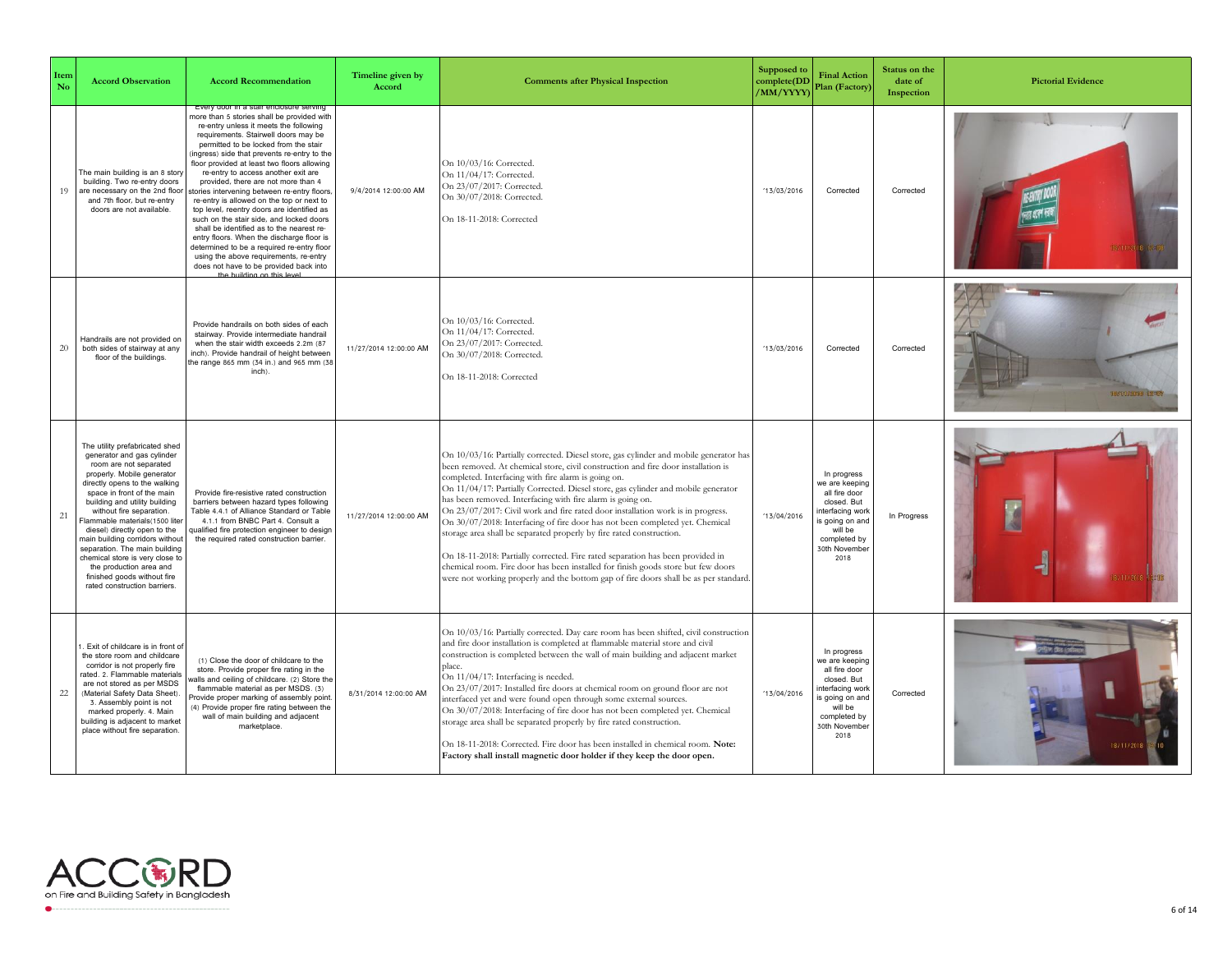| Item<br>No | <b>Accord Observation</b>                                                                                                                                                                                                                                                                                                                                                                                                                                                                                           | <b>Accord Recommendation</b>                                                                                                                                                                                                                                                                                                                                                                                                                                                                                                                                                                                                                                                                                                                                                                                                       | Timeline given by<br>Accord | <b>Comments after Physical Inspection</b>                                                                                                                                                                                                                                                                                                                                                                                                                                                                                                                                                                                                                                                                                                                                                                                                                                                     | Supposed to<br>complete(DD<br>/MM/YYYY) | <b>Final Action</b><br>Plan (Factory)                                                                                                                  | Status on the<br>date of<br>Inspection | <b>Pictorial Evidence</b> |
|------------|---------------------------------------------------------------------------------------------------------------------------------------------------------------------------------------------------------------------------------------------------------------------------------------------------------------------------------------------------------------------------------------------------------------------------------------------------------------------------------------------------------------------|------------------------------------------------------------------------------------------------------------------------------------------------------------------------------------------------------------------------------------------------------------------------------------------------------------------------------------------------------------------------------------------------------------------------------------------------------------------------------------------------------------------------------------------------------------------------------------------------------------------------------------------------------------------------------------------------------------------------------------------------------------------------------------------------------------------------------------|-----------------------------|-----------------------------------------------------------------------------------------------------------------------------------------------------------------------------------------------------------------------------------------------------------------------------------------------------------------------------------------------------------------------------------------------------------------------------------------------------------------------------------------------------------------------------------------------------------------------------------------------------------------------------------------------------------------------------------------------------------------------------------------------------------------------------------------------------------------------------------------------------------------------------------------------|-----------------------------------------|--------------------------------------------------------------------------------------------------------------------------------------------------------|----------------------------------------|---------------------------|
| 19         | The main building is an 8 story<br>building. Two re-entry doors<br>are necessary on the 2nd floor<br>and 7th floor, but re-entry<br>doors are not available.                                                                                                                                                                                                                                                                                                                                                        | Every goor in a stair enclose<br>nore than 5 stories shall be provided with<br>re-entry unless it meets the following<br>requirements. Stairwell doors may be<br>permitted to be locked from the stair<br>ingress) side that prevents re-entry to the<br>floor provided at least two floors allowing<br>re-entry to access another exit are<br>provided, there are not more than 4<br>stories intervening between re-entry floors,<br>re-entry is allowed on the top or next to<br>top level, reentry doors are identified as<br>such on the stair side, and locked doors<br>shall be identified as to the nearest re-<br>entry floors. When the discharge floor is<br>determined to be a required re-entry floor<br>using the above requirements, re-entry<br>does not have to be provided back into<br>the building on this love | 9/4/2014 12:00:00 AM        | On 10/03/16: Corrected.<br>On 11/04/17: Corrected.<br>On 23/07/2017: Corrected.<br>On 30/07/2018: Corrected.<br>On 18-11-2018: Corrected                                                                                                                                                                                                                                                                                                                                                                                                                                                                                                                                                                                                                                                                                                                                                      | '13/03/2016                             | Corrected                                                                                                                                              | Corrected                              |                           |
| 20         | Handrails are not provided on<br>both sides of stairway at any<br>floor of the buildings.                                                                                                                                                                                                                                                                                                                                                                                                                           | Provide handrails on both sides of each<br>stairway. Provide intermediate handrail<br>when the stair width exceeds 2.2m (87)<br>inch). Provide handrail of height between<br>the range 865 mm (34 in.) and 965 mm (38<br>inch).                                                                                                                                                                                                                                                                                                                                                                                                                                                                                                                                                                                                    | 11/27/2014 12:00:00 AM      | On 10/03/16: Corrected.<br>On 11/04/17: Corrected.<br>On 23/07/2017: Corrected.<br>On 30/07/2018: Corrected.<br>On 18-11-2018: Corrected                                                                                                                                                                                                                                                                                                                                                                                                                                                                                                                                                                                                                                                                                                                                                      | 13/03/2016                              | Corrected                                                                                                                                              | Corrected                              | 19971172001               |
| 21         | The utility prefabricated shed<br>generator and gas cylinder<br>room are not separated<br>properly. Mobile generator<br>directly opens to the walking<br>space in front of the main<br>building and utility building<br>without fire separation.<br>Flammable materials(1500 liter<br>diesel) directly open to the<br>main building corridors without<br>separation. The main building<br>chemical store is very close to<br>the production area and<br>finished goods without fire<br>rated construction barriers. | Provide fire-resistive rated construction<br>barriers between hazard types following<br>Table 4.4.1 of Alliance Standard or Table<br>4.1.1 from BNBC Part 4. Consult a<br>qualified fire protection engineer to design<br>the required rated construction barrier.                                                                                                                                                                                                                                                                                                                                                                                                                                                                                                                                                                 | 11/27/2014 12:00:00 AM      | On 10/03/16: Partially corrected. Diesel store, gas cylinder and mobile generator has<br>been removed. At chemical store, civil construction and fire door installation is<br>completed. Interfacing with fire alarm is going on.<br>On 11/04/17: Partially Corrected. Diesel store, gas cylinder and mobile generator<br>has been removed. Interfacing with fire alarm is going on.<br>On 23/07/2017: Civil work and fire rated door installation work is in progress.<br>On 30/07/2018: Interfacing of fire door has not been completed yet. Chemical<br>storage area shall be separated properly by fire rated construction.<br>On 18-11-2018: Partially corrected. Fire rated separation has been provided in<br>chemical room. Fire door has been installed for finish goods store but few doors<br>were not working properly and the bottom gap of fire doors shall be as per standard. | '13/04/2016                             | In progress<br>we are keeping<br>all fire door<br>closed. But<br>terfacing work<br>s going on and<br>will be<br>completed by<br>30th November<br>2018  | In Progress                            |                           |
| 22         | Exit of childcare is in front of<br>the store room and childcare<br>corridor is not properly fire<br>rated. 2. Flammable materials<br>are not stored as per MSDS<br>(Material Safety Data Sheet).<br>3. Assembly point is not<br>marked properly. 4. Main<br>building is adjacent to market<br>place without fire separation.                                                                                                                                                                                       | (1) Close the door of childcare to the<br>store. Provide proper fire rating in the<br>ralls and ceiling of childcare. (2) Store the<br>flammable material as per MSDS. (3)<br>rovide proper marking of assembly point.<br>4) Provide proper fire rating between the<br>wall of main building and adiacent<br>marketplace.                                                                                                                                                                                                                                                                                                                                                                                                                                                                                                          | 8/31/2014 12:00:00 AM       | On 10/03/16: Partially corrected. Day care room has been shifted, civil construction<br>and fire door installation is completed at flammable material store and civil<br>construction is completed between the wall of main building and adjacent market<br>place.<br>On 11/04/17: Interfacing is needed.<br>On 23/07/2017: Installed fire doors at chemical room on ground floor are not<br>interfaced yet and were found open through some external sources.<br>On 30/07/2018: Interfacing of fire door has not been completed yet. Chemical<br>storage area shall be separated properly by fire rated construction.<br>On 18-11-2018: Corrected. Fire door has been installed in chemical room. Note:<br>Factory shall install magnetic door holder if they keep the door open.                                                                                                            | '13/04/2016                             | In progress<br>ve are keeping<br>all fire door<br>closed. But<br>nterfacing work<br>s going on and<br>will be<br>completed by<br>30th November<br>2018 | Corrected                              | 18/11/2018                |

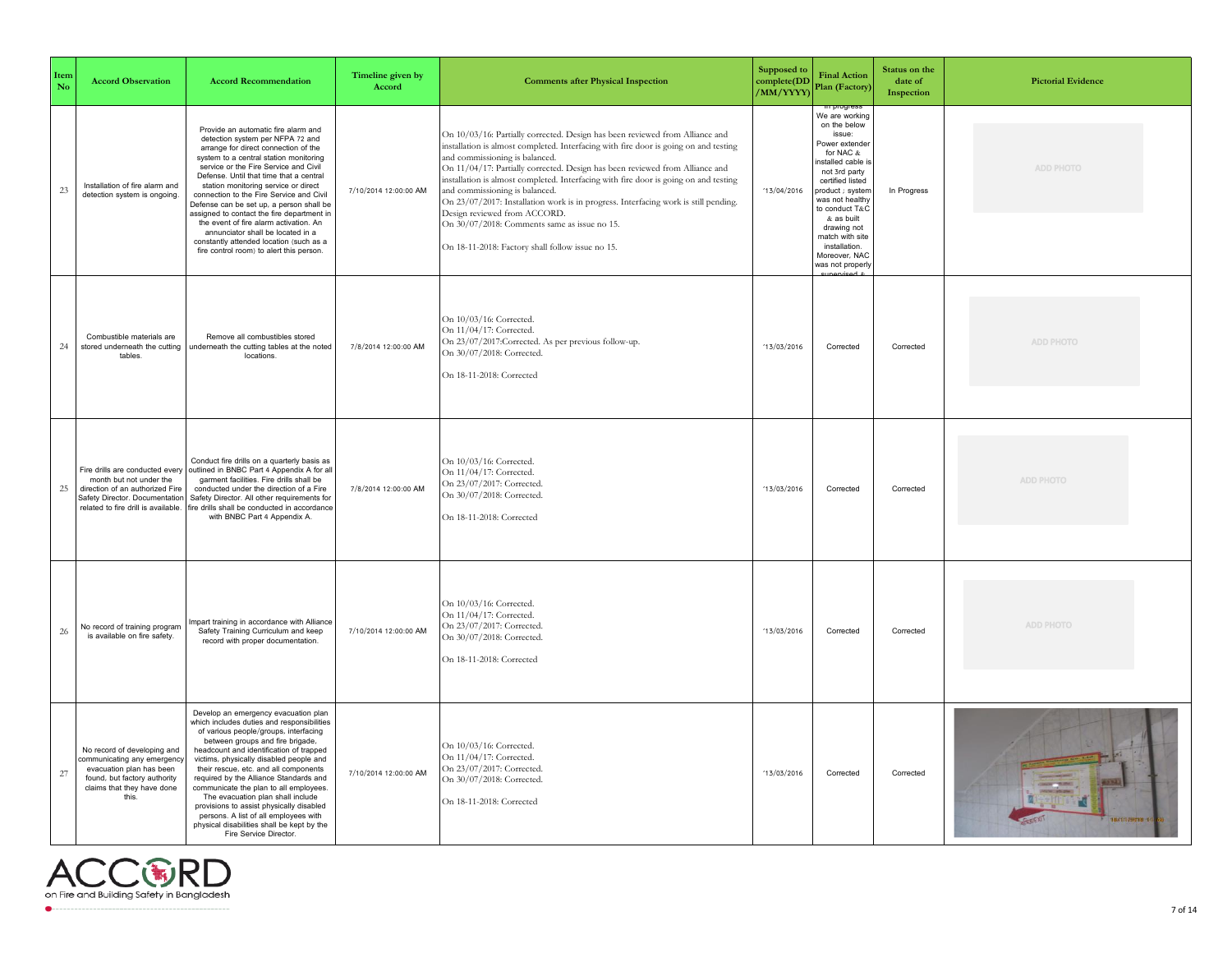| Item<br>No | <b>Accord Observation</b>                                                                                                                                              | <b>Accord Recommendation</b>                                                                                                                                                                                                                                                                                                                                                                                                                                                                                                                                                                      | Timeline given by<br>Accord | <b>Comments after Physical Inspection</b>                                                                                                                                                                                                                                                                                                                                                                                                                                                                                                                                                                                                   | Supposed to<br>complete(DD<br>/MM/YYYY) | <b>Final Action</b><br>Plan (Factory)                                                                                                                                                                                                                                                            | Status on the<br>date of<br>Inspection | <b>Pictorial Evidence</b> |
|------------|------------------------------------------------------------------------------------------------------------------------------------------------------------------------|---------------------------------------------------------------------------------------------------------------------------------------------------------------------------------------------------------------------------------------------------------------------------------------------------------------------------------------------------------------------------------------------------------------------------------------------------------------------------------------------------------------------------------------------------------------------------------------------------|-----------------------------|---------------------------------------------------------------------------------------------------------------------------------------------------------------------------------------------------------------------------------------------------------------------------------------------------------------------------------------------------------------------------------------------------------------------------------------------------------------------------------------------------------------------------------------------------------------------------------------------------------------------------------------------|-----------------------------------------|--------------------------------------------------------------------------------------------------------------------------------------------------------------------------------------------------------------------------------------------------------------------------------------------------|----------------------------------------|---------------------------|
| $23\,$     | Installation of fire alarm and<br>detection system is ongoing.                                                                                                         | Provide an automatic fire alarm and<br>detection system per NFPA 72 and<br>arrange for direct connection of the<br>system to a central station monitoring<br>service or the Fire Service and Civil<br>Defense. Until that time that a central<br>station monitoring service or direct<br>connection to the Fire Service and Civil<br>Defense can be set up, a person shall be<br>assigned to contact the fire department in<br>the event of fire alarm activation. An<br>annunciator shall be located in a<br>constantly attended location (such as a<br>fire control room) to alert this person. | 7/10/2014 12:00:00 AM       | On 10/03/16: Partially corrected. Design has been reviewed from Alliance and<br>installation is almost completed. Interfacing with fire door is going on and testing<br>and commissioning is balanced.<br>On 11/04/17: Partially corrected. Design has been reviewed from Alliance and<br>installation is almost completed. Interfacing with fire door is going on and testing<br>and commissioning is balanced.<br>On 23/07/2017: Installation work is in progress. Interfacing work is still pending.<br>Design reviewed from ACCORD.<br>On 30/07/2018: Comments same as issue no 15.<br>On 18-11-2018: Factory shall follow issue no 15. | 13/04/2016                              | We are working<br>on the below<br>issue:<br>Power extender<br>for NAC &<br>nstalled cable is<br>not 3rd party<br>certified listed<br>product ; system<br>was not healthy<br>to conduct T&C<br>& as built<br>drawing not<br>match with site<br>installation.<br>Moreover, NAC<br>vas not properly | In Progress                            | ADD PHOTO                 |
| $24\,$     | Combustible materials are<br>stored underneath the cutting<br>tables                                                                                                   | Remove all combustibles stored<br>underneath the cutting tables at the noted<br>locations.                                                                                                                                                                                                                                                                                                                                                                                                                                                                                                        | 7/8/2014 12:00:00 AM        | On 10/03/16: Corrected.<br>On 11/04/17: Corrected.<br>On 23/07/2017:Corrected. As per previous follow-up.<br>On 30/07/2018: Corrected.<br>On 18-11-2018: Corrected                                                                                                                                                                                                                                                                                                                                                                                                                                                                          | 13/03/2016                              | Corrected                                                                                                                                                                                                                                                                                        | Corrected                              | ADD PHOTO                 |
| 25         | Fire drills are conducted every<br>month but not under the<br>direction of an authorized Fire<br>Safety Director. Documentation<br>related to fire drill is available. | Conduct fire drills on a quarterly basis as<br>outlined in BNBC Part 4 Appendix A for all<br>garment facilities. Fire drills shall be<br>conducted under the direction of a Fire<br>Safety Director. All other requirements for<br>fire drills shall be conducted in accordance<br>with BNBC Part 4 Appendix A.                                                                                                                                                                                                                                                                                   | 7/8/2014 12:00:00 AM        | On 10/03/16: Corrected.<br>On 11/04/17: Corrected.<br>On 23/07/2017: Corrected.<br>On 30/07/2018: Corrected.<br>On 18-11-2018: Corrected                                                                                                                                                                                                                                                                                                                                                                                                                                                                                                    | 13/03/2016                              | Corrected                                                                                                                                                                                                                                                                                        | Corrected                              | ADD PHOTO                 |
| 26         | No record of training program<br>is available on fire safety.                                                                                                          | mpart training in accordance with Alliance<br>Safety Training Curriculum and keep<br>record with proper documentation.                                                                                                                                                                                                                                                                                                                                                                                                                                                                            | 7/10/2014 12:00:00 AM       | On 10/03/16: Corrected.<br>On 11/04/17: Corrected.<br>On 23/07/2017: Corrected.<br>On 30/07/2018: Corrected.<br>On 18-11-2018: Corrected                                                                                                                                                                                                                                                                                                                                                                                                                                                                                                    | 13/03/2016                              | Corrected                                                                                                                                                                                                                                                                                        | Corrected                              | ADD PHOTO                 |
| $27\,$     | No record of developing and<br>ommunicating any emergency<br>evacuation plan has been<br>found, but factory authority<br>claims that they have done<br>this.           | Develop an emergency evacuation plan<br>which includes duties and responsibilities<br>of various people/groups, interfacing<br>between groups and fire brigade,<br>headcount and identification of trapped<br>victims, physically disabled people and<br>their rescue, etc. and all components<br>required by the Alliance Standards and<br>communicate the plan to all employees.<br>The evacuation plan shall include<br>provisions to assist physically disabled<br>persons. A list of all employees with<br>physical disabilities shall be kept by the<br>Fire Service Director.              | 7/10/2014 12:00:00 AM       | On 10/03/16: Corrected.<br>On 11/04/17: Corrected.<br>On 23/07/2017: Corrected.<br>On 30/07/2018: Corrected.<br>On 18-11-2018: Corrected                                                                                                                                                                                                                                                                                                                                                                                                                                                                                                    | 13/03/2016                              | Corrected                                                                                                                                                                                                                                                                                        | Corrected                              | 18/11/2019 1              |

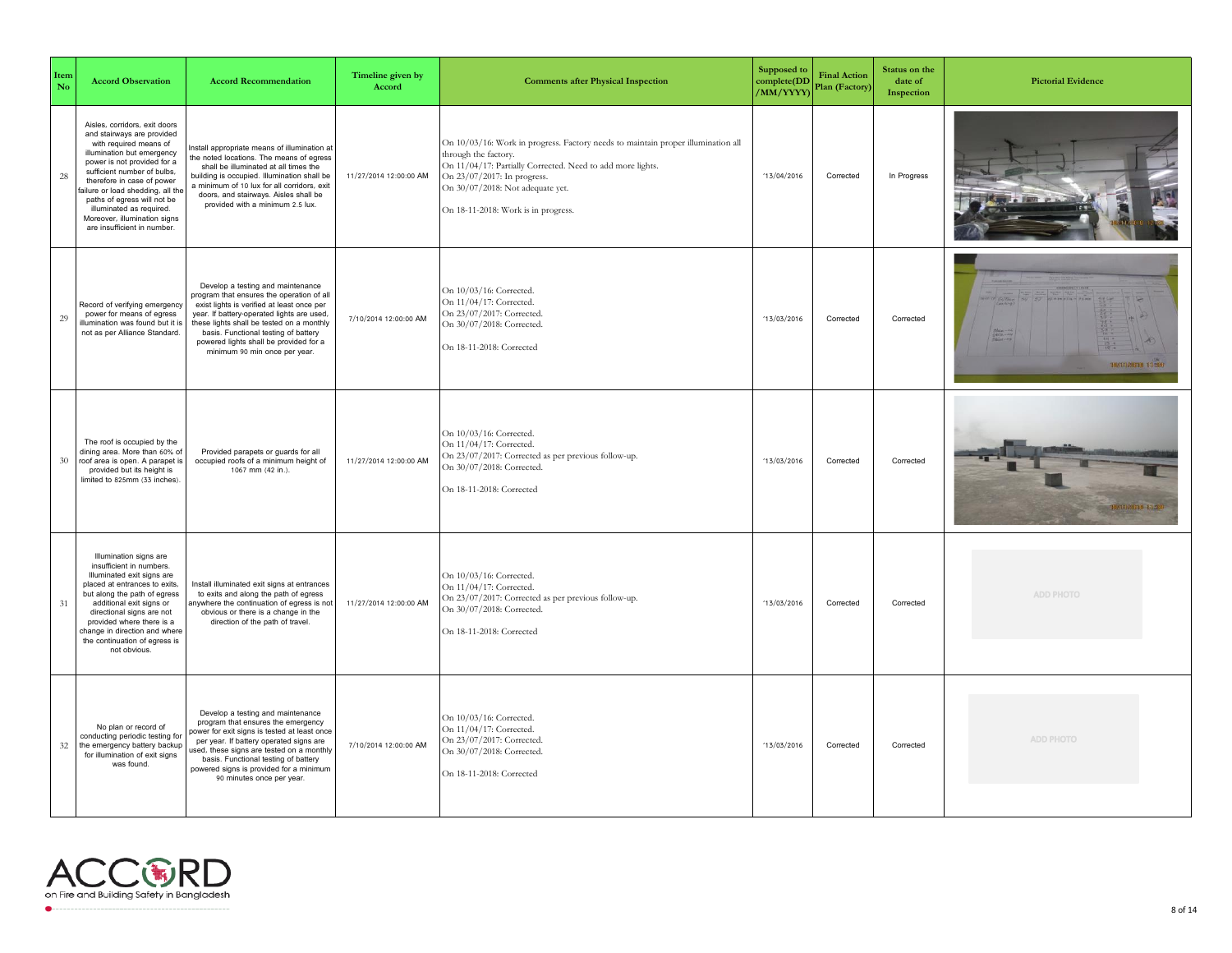| Item<br>No | <b>Accord Observation</b>                                                                                                                                                                                                                                                                                                                                                      | <b>Accord Recommendation</b>                                                                                                                                                                                                                                                                                                               | Timeline given by<br>Accord | <b>Comments after Physical Inspection</b>                                                                                                                                                                                                                                        | Supposed to<br>complete(DD<br>/MM/YYYY) | <b>Final Action</b><br>Plan (Factory) | Status on the<br>date of<br>Inspection | <b>Pictorial Evidence</b> |
|------------|--------------------------------------------------------------------------------------------------------------------------------------------------------------------------------------------------------------------------------------------------------------------------------------------------------------------------------------------------------------------------------|--------------------------------------------------------------------------------------------------------------------------------------------------------------------------------------------------------------------------------------------------------------------------------------------------------------------------------------------|-----------------------------|----------------------------------------------------------------------------------------------------------------------------------------------------------------------------------------------------------------------------------------------------------------------------------|-----------------------------------------|---------------------------------------|----------------------------------------|---------------------------|
| 28         | Aisles, corridors, exit doors<br>and stairways are provided<br>with required means of<br>illumination but emergency<br>power is not provided for a<br>sufficient number of bulbs,<br>therefore in case of power<br>failure or load shedding, all the<br>paths of egress will not be<br>illuminated as required.<br>Moreover, illumination signs<br>are insufficient in number. | nstall appropriate means of illumination at<br>the noted locations. The means of egress<br>shall be illuminated at all times the<br>building is occupied. Illumination shall be<br>a minimum of 10 lux for all corridors, exit<br>doors, and stairways. Aisles shall be<br>provided with a minimum 2.5 lux.                                | 11/27/2014 12:00:00 AM      | On 10/03/16: Work in progress. Factory needs to maintain proper illumination all<br>through the factory.<br>On 11/04/17: Partially Corrected. Need to add more lights.<br>On 23/07/2017: In progress.<br>On 30/07/2018: Not adequate yet.<br>On 18-11-2018: Work is in progress. | 13/04/2016                              | Corrected                             | In Progress                            |                           |
| 29         | Record of verifying emergency<br>power for means of egress<br>illumination was found but it is<br>not as per Alliance Standard.                                                                                                                                                                                                                                                | Develop a testing and maintenance<br>program that ensures the operation of all<br>exist lights is verified at least once per<br>year. If battery-operated lights are used,<br>these lights shall be tested on a monthly<br>basis. Functional testing of battery<br>powered lights shall be provided for a<br>minimum 90 min once per year. | 7/10/2014 12:00:00 AM       | On 10/03/16: Corrected.<br>On 11/04/17: Corrected.<br>On 23/07/2017: Corrected.<br>On 30/07/2018: Corrected.<br>On 18-11-2018: Corrected                                                                                                                                         | 13/03/2016                              | Corrected                             | Corrected                              | 18/11/2010 11:30          |
| 30         | The roof is occupied by the<br>dining area. More than 60% of<br>roof area is open. A parapet is<br>provided but its height is<br>limited to 825mm (33 inches).                                                                                                                                                                                                                 | Provided parapets or guards for all<br>occupied roofs of a minimum height of<br>1067 mm (42 in.).                                                                                                                                                                                                                                          | 11/27/2014 12:00:00 AM      | On 10/03/16: Corrected.<br>On 11/04/17: Corrected.<br>On 23/07/2017: Corrected as per previous follow-up.<br>On 30/07/2018: Corrected.<br>On 18-11-2018: Corrected                                                                                                               | 13/03/2016                              | Corrected                             | Corrected                              | 200910201010111230        |
| 31         | Illumination signs are<br>insufficient in numbers.<br>Illuminated exit signs are<br>placed at entrances to exits,<br>but along the path of egress<br>additional exit signs or<br>directional signs are not<br>provided where there is a<br>change in direction and where<br>the continuation of egress is<br>not obvious.                                                      | Install illuminated exit signs at entrances<br>to exits and along the path of egress<br>nywhere the continuation of egress is not<br>obvious or there is a change in the<br>direction of the path of travel.                                                                                                                               | 11/27/2014 12:00:00 AM      | On 10/03/16: Corrected.<br>On 11/04/17: Corrected.<br>On 23/07/2017: Corrected as per previous follow-up.<br>On 30/07/2018: Corrected.<br>On 18-11-2018: Corrected                                                                                                               | 13/03/2016                              | Corrected                             | Corrected                              | ADD PHOTO                 |
| 32         | No plan or record of<br>conducting periodic testing for<br>the emergency battery backup<br>for illumination of exit signs<br>was found.                                                                                                                                                                                                                                        | Develop a testing and maintenance<br>program that ensures the emergency<br>ower for exit signs is tested at least once<br>per year. If battery operated signs are<br>used, these signs are tested on a monthly<br>basis. Functional testing of battery<br>powered signs is provided for a minimum<br>90 minutes once per year.             | 7/10/2014 12:00:00 AM       | On 10/03/16: Corrected.<br>On 11/04/17: Corrected.<br>On 23/07/2017: Corrected.<br>On 30/07/2018: Corrected.<br>On 18-11-2018: Corrected                                                                                                                                         | 13/03/2016                              | Corrected                             | Corrected                              | ADD PHOTO                 |

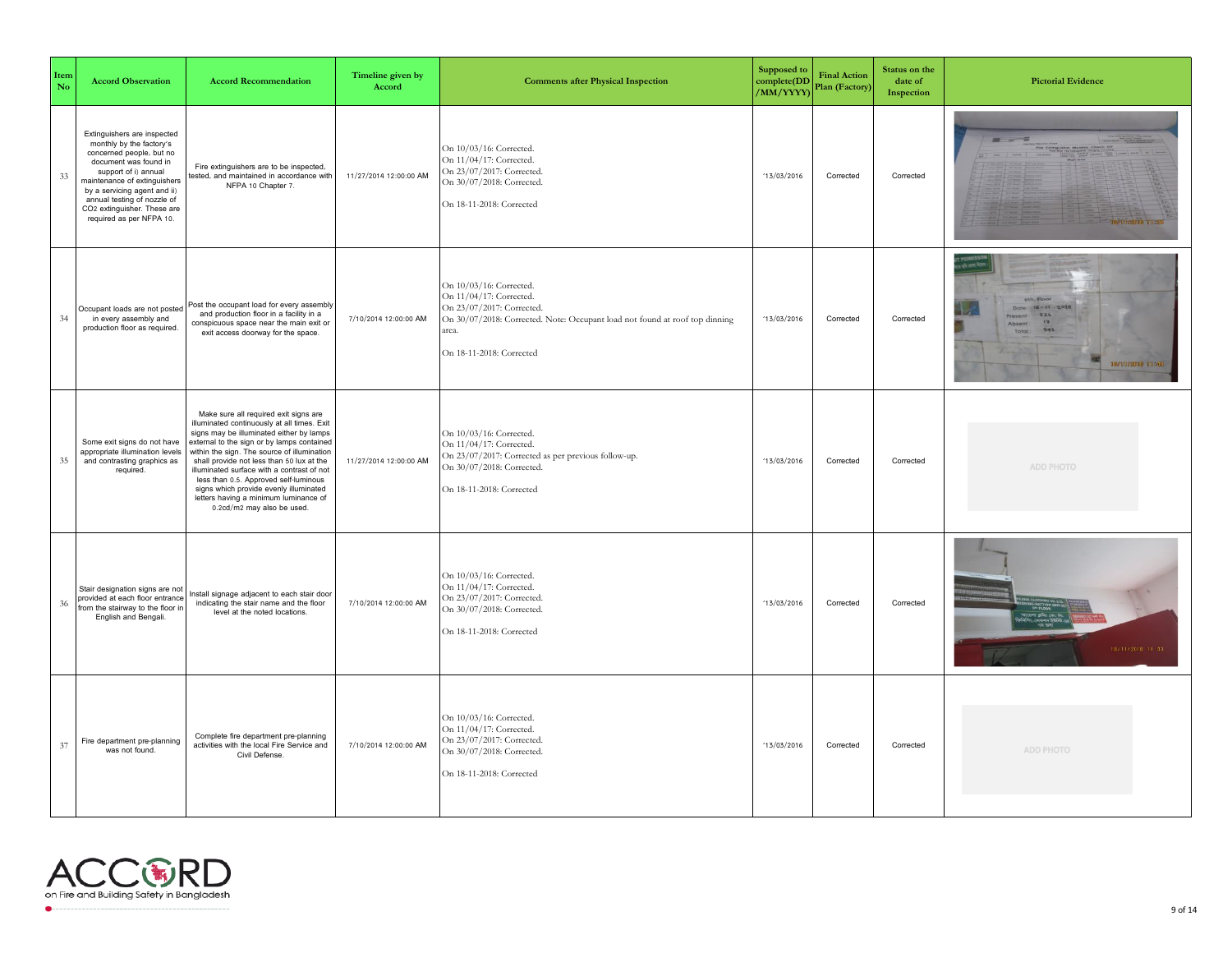| Item<br>No | <b>Accord Observation</b>                                                                                                                                                                                                                                                                                  | <b>Accord Recommendation</b>                                                                                                                                                                                                                                                                                                                                                                                                                                                       | Timeline given by<br>Accord | <b>Comments after Physical Inspection</b>                                                                                                                                                           | Supposed to<br>complete(DD<br>/MM/YYYY) | <b>Final Action</b><br>Plan (Factory) | Status on the<br>date of<br>Inspection | <b>Pictorial Evidence</b>                                                             |
|------------|------------------------------------------------------------------------------------------------------------------------------------------------------------------------------------------------------------------------------------------------------------------------------------------------------------|------------------------------------------------------------------------------------------------------------------------------------------------------------------------------------------------------------------------------------------------------------------------------------------------------------------------------------------------------------------------------------------------------------------------------------------------------------------------------------|-----------------------------|-----------------------------------------------------------------------------------------------------------------------------------------------------------------------------------------------------|-----------------------------------------|---------------------------------------|----------------------------------------|---------------------------------------------------------------------------------------|
| 33         | Extinguishers are inspected<br>monthly by the factory's<br>concerned people, but no<br>document was found in<br>support of i) annual<br>maintenance of extinguishers<br>by a servicing agent and ii)<br>annual testing of nozzle of<br>CO <sub>2</sub> extinguisher. These are<br>required as per NFPA 10. | Fire extinguishers are to be inspected,<br>tested, and maintained in accordance with<br>NFPA 10 Chapter 7.                                                                                                                                                                                                                                                                                                                                                                         | 11/27/2014 12:00:00 AM      | On 10/03/16: Corrected.<br>On 11/04/17: Corrected.<br>On 23/07/2017: Corrected.<br>On 30/07/2018: Corrected.<br>On 18-11-2018: Corrected                                                            | 13/03/2016                              | Corrected                             | Corrected                              | <b>196799720099 UD-20F</b>                                                            |
| 34         | Occupant loads are not posted<br>in every assembly and<br>production floor as required.                                                                                                                                                                                                                    | Post the occupant load for every assembly<br>and production floor in a facility in a<br>conspicuous space near the main exit or<br>exit access doorway for the space.                                                                                                                                                                                                                                                                                                              | 7/10/2014 12:00:00 AM       | On 10/03/16: Corrected.<br>On 11/04/17: Corrected.<br>On 23/07/2017: Corrected.<br>On 30/07/2018: Corrected. Note: Occupant load not found at roof top dinning<br>area.<br>On 18-11-2018: Corrected | 13/03/2016                              | Corrected                             | Corrected                              | Date: 12-11-2018<br>Fresent: 526<br>F1<br>Absent:<br>545<br>Total<br>18/11/2010 11:40 |
| 35         | Some exit signs do not have<br>appropriate illumination levels<br>and contrasting graphics as<br>required.                                                                                                                                                                                                 | Make sure all required exit signs are<br>illuminated continuously at all times. Exit<br>signs may be illuminated either by lamps<br>external to the sign or by lamps contained<br>within the sign. The source of illumination<br>shall provide not less than 50 lux at the<br>illuminated surface with a contrast of not<br>less than 0.5. Approved self-luminous<br>signs which provide evenly illuminated<br>letters having a minimum luminance of<br>0.2cd/m2 may also be used. | 11/27/2014 12:00:00 AM      | On 10/03/16: Corrected.<br>On 11/04/17: Corrected.<br>On 23/07/2017: Corrected as per previous follow-up.<br>On 30/07/2018: Corrected.<br>On 18-11-2018: Corrected                                  | 13/03/2016                              | Corrected                             | Corrected                              | ADD PHOTO                                                                             |
| 36         | Stair designation signs are not<br>provided at each floor entrance<br>rom the stairway to the floor in<br>English and Bengali.                                                                                                                                                                             | Install signage adjacent to each stair door<br>indicating the stair name and the floor<br>level at the noted locations.                                                                                                                                                                                                                                                                                                                                                            | 7/10/2014 12:00:00 AM       | On 10/03/16: Corrected.<br>On 11/04/17: Corrected.<br>On 23/07/2017: Corrected.<br>On 30/07/2018: Corrected.<br>On 18-11-2018: Corrected                                                            | 13/03/2016                              | Corrected                             | Corrected                              | 18/11/2018 11:43                                                                      |
| 37         | Fire department pre-planning<br>was not found                                                                                                                                                                                                                                                              | Complete fire department pre-planning<br>activities with the local Fire Service and<br>Civil Defense.                                                                                                                                                                                                                                                                                                                                                                              | 7/10/2014 12:00:00 AM       | On 10/03/16: Corrected.<br>On 11/04/17: Corrected.<br>On 23/07/2017: Corrected.<br>On 30/07/2018: Corrected.<br>On 18-11-2018: Corrected                                                            | 13/03/2016                              | Corrected                             | Corrected                              | ADD PHOTO                                                                             |

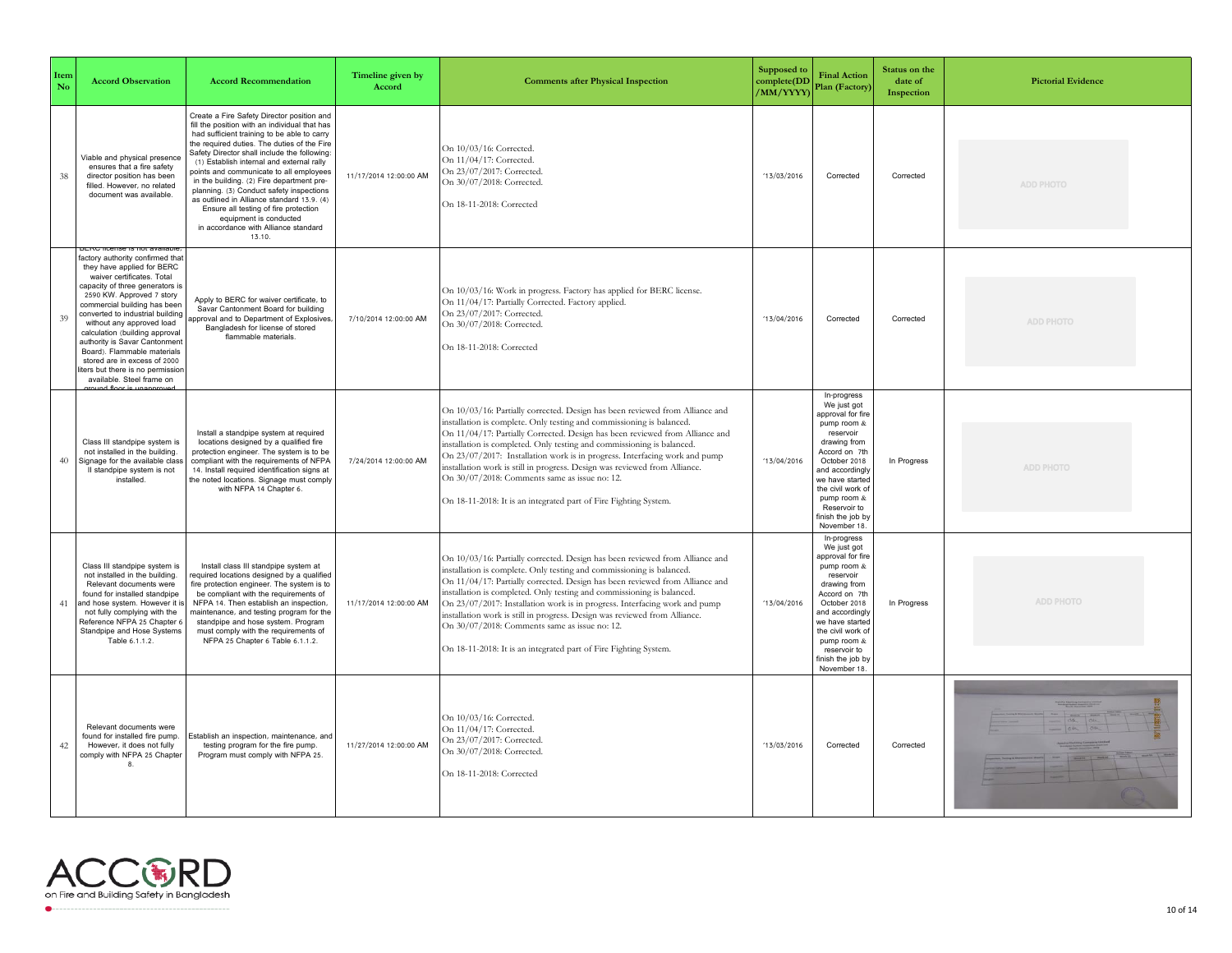| Item<br>No | <b>Accord Observation</b>                                                                                                                                                                                                                                                                                                                                                                                                                                                   | <b>Accord Recommendation</b>                                                                                                                                                                                                                                                                                                                                                                                                                                                                                                                                                                  | Timeline given by<br>Accord | <b>Comments after Physical Inspection</b>                                                                                                                                                                                                                                                                                                                                                                                                                                                                                                                                                        | Supposed to<br>complete(DD<br>/MM/YYYY) | <b>Final Action</b><br>Plan (Factory)                                                                                                                                                                                                                       | Status on the<br>date of<br>Inspection | <b>Pictorial Evidence</b> |
|------------|-----------------------------------------------------------------------------------------------------------------------------------------------------------------------------------------------------------------------------------------------------------------------------------------------------------------------------------------------------------------------------------------------------------------------------------------------------------------------------|-----------------------------------------------------------------------------------------------------------------------------------------------------------------------------------------------------------------------------------------------------------------------------------------------------------------------------------------------------------------------------------------------------------------------------------------------------------------------------------------------------------------------------------------------------------------------------------------------|-----------------------------|--------------------------------------------------------------------------------------------------------------------------------------------------------------------------------------------------------------------------------------------------------------------------------------------------------------------------------------------------------------------------------------------------------------------------------------------------------------------------------------------------------------------------------------------------------------------------------------------------|-----------------------------------------|-------------------------------------------------------------------------------------------------------------------------------------------------------------------------------------------------------------------------------------------------------------|----------------------------------------|---------------------------|
| 38         | Viable and physical presence<br>ensures that a fire safety<br>director position has been<br>filled. However, no related<br>document was available.                                                                                                                                                                                                                                                                                                                          | Create a Fire Safety Director position and<br>fill the position with an individual that has<br>had sufficient training to be able to carry<br>the required duties. The duties of the Fire<br>Safety Director shall include the following:<br>(1) Establish internal and external rally<br>points and communicate to all employees<br>in the building. (2) Fire department pre-<br>planning. (3) Conduct safety inspections<br>as outlined in Alliance standard 13.9. (4)<br>Ensure all testing of fire protection<br>equipment is conducted<br>in accordance with Alliance standard<br>13.10. | 11/17/2014 12:00:00 AM      | On 10/03/16: Corrected.<br>On 11/04/17: Corrected.<br>On 23/07/2017: Corrected.<br>On 30/07/2018: Corrected.<br>On 18-11-2018: Corrected                                                                                                                                                                                                                                                                                                                                                                                                                                                         | 13/03/2016                              | Corrected                                                                                                                                                                                                                                                   | Corrected                              | ADD PHOTO                 |
| 39         | factory authority confirmed that<br>they have applied for BERC<br>waiver certificates. Total<br>capacity of three generators is<br>2590 KW. Approved 7 story<br>commercial building has been<br>converted to industrial building<br>without any approved load<br>calculation (building approval<br>authority is Savar Cantonment<br>Board). Flammable materials<br>stored are in excess of 2000<br>iters but there is no permission<br>available. Steel frame on<br>and for | Apply to BERC for waiver certificate, to<br>Savar Cantonment Board for building<br>pproval and to Department of Explosives<br>Bangladesh for license of stored<br>flammable materials.                                                                                                                                                                                                                                                                                                                                                                                                        | 7/10/2014 12:00:00 AM       | On 10/03/16: Work in progress. Factory has applied for BERC license.<br>On 11/04/17: Partially Corrected. Factory applied.<br>On 23/07/2017: Corrected.<br>On 30/07/2018: Corrected.<br>On 18-11-2018: Corrected                                                                                                                                                                                                                                                                                                                                                                                 | 13/04/2016                              | Corrected                                                                                                                                                                                                                                                   | Corrected                              | ADD PHOTO                 |
| 40         | Class III standpipe system is<br>not installed in the building.<br>Signage for the available class<br>Il standpipe system is not<br>installed                                                                                                                                                                                                                                                                                                                               | Install a standpipe system at required<br>locations designed by a qualified fire<br>protection engineer. The system is to be<br>compliant with the requirements of NFPA<br>14. Install required identification signs at<br>the noted locations. Signage must comply<br>with NFPA 14 Chapter 6.                                                                                                                                                                                                                                                                                                | 7/24/2014 12:00:00 AM       | On 10/03/16: Partially corrected. Design has been reviewed from Alliance and<br>installation is complete. Only testing and commissioning is balanced.<br>On 11/04/17: Partially Corrected. Design has been reviewed from Alliance and<br>installation is completed. Only testing and commissioning is balanced.<br>On 23/07/2017: Installation work is in progress. Interfacing work and pump<br>nstallation work is still in progress. Design was reviewed from Alliance.<br>On 30/07/2018: Comments same as issue no: 12.<br>On 18-11-2018: It is an integrated part of Fire Fighting System.  | 13/04/2016                              | In-progress<br>We just got<br>approval for fire<br>pump room &<br>reservoir<br>drawing from<br>Accord on 7th<br>October 2018<br>and accordingly<br>we have started<br>the civil work of<br>pump room &<br>Reservoir to<br>finish the job by<br>November 18. | In Progress                            | ADD PHOTO                 |
| 41         | Class III standpipe system is<br>not installed in the building.<br>Relevant documents were<br>found for installed standpipe<br>and hose system. However it is<br>not fully complying with the<br>Reference NFPA 25 Chapter 6<br>Standpipe and Hose Systems<br>Table 6.1.1.2.                                                                                                                                                                                                | Install class III standpipe system at<br>equired locations designed by a qualified<br>fire protection engineer. The system is to<br>be compliant with the requirements of<br>NFPA 14. Then establish an inspection,<br>naintenance, and testing program for the<br>standpipe and hose system. Program<br>must comply with the requirements of<br>NFPA 25 Chapter 6 Table 6.1.1.2.                                                                                                                                                                                                             | 11/17/2014 12:00:00 AM      | On 10/03/16: Partially corrected. Design has been reviewed from Alliance and<br>installation is complete. Only testing and commissioning is balanced.<br>On 11/04/17: Partially corrected. Design has been reviewed from Alliance and<br>installation is completed. Only testing and commissioning is balanced.<br>On 23/07/2017: Installation work is in progress. Interfacing work and pump<br>installation work is still in progress. Design was reviewed from Alliance.<br>On 30/07/2018: Comments same as issue no: 12.<br>On 18-11-2018: It is an integrated part of Fire Fighting System. | 13/04/2016                              | In-progress<br>We just got<br>approval for fire<br>pump room &<br>reservoir<br>drawing from<br>Accord on 7th<br>October 2018<br>and accordingly<br>we have started<br>the civil work of<br>pump room &<br>reservoir to<br>finish the job by<br>November 18. | In Progress                            | ADD PHOTO                 |
| 42         | Relevant documents were<br>found for installed fire pump.<br>However, it does not fully<br>comply with NFPA 25 Chapter<br>8                                                                                                                                                                                                                                                                                                                                                 | Establish an inspection, maintenance, and<br>testing program for the fire pump.<br>Program must comply with NFPA 25.                                                                                                                                                                                                                                                                                                                                                                                                                                                                          | 11/27/2014 12:00:00 AM      | On 10/03/16: Corrected.<br>On 11/04/17: Corrected.<br>On 23/07/2017: Corrected.<br>On 30/07/2018: Corrected.<br>On 18-11-2018: Corrected                                                                                                                                                                                                                                                                                                                                                                                                                                                         | 13/03/2016                              | Corrected                                                                                                                                                                                                                                                   | Corrected                              |                           |

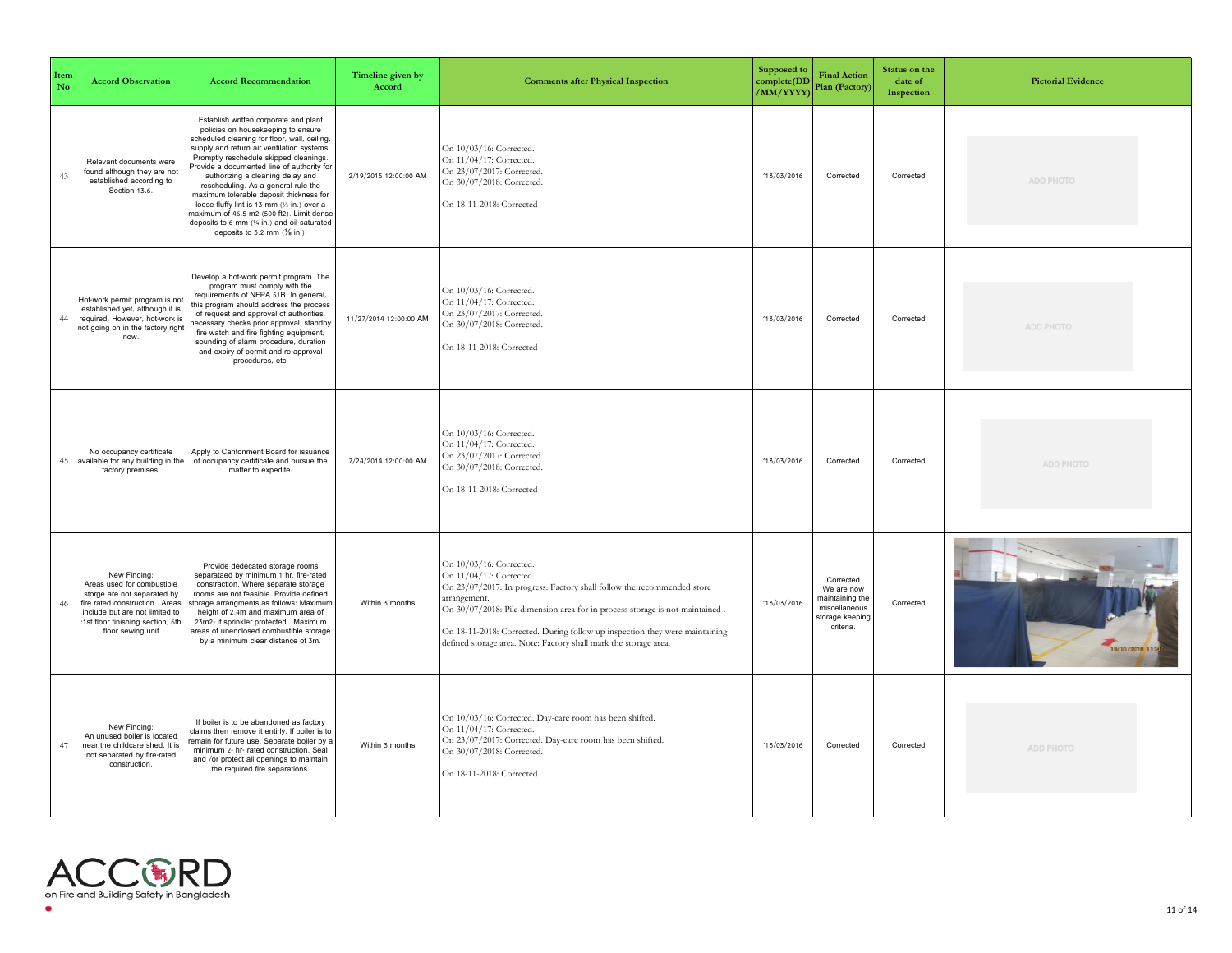| Item<br>No | <b>Accord Observation</b>                                                                                                                                                                                | <b>Accord Recommendation</b>                                                                                                                                                                                                                                                                                                                                                                                                                                                                                                                                                   | Timeline given by<br>Accord | <b>Comments after Physical Inspection</b>                                                                                                                                                                                                                                                                                                                                       | Supposed to<br>complete(DD<br>/MM/YYYY) | <b>Final Action</b><br>Plan (Factory)                                                       | Status on the<br>date of<br>Inspection | <b>Pictorial Evidence</b> |
|------------|----------------------------------------------------------------------------------------------------------------------------------------------------------------------------------------------------------|--------------------------------------------------------------------------------------------------------------------------------------------------------------------------------------------------------------------------------------------------------------------------------------------------------------------------------------------------------------------------------------------------------------------------------------------------------------------------------------------------------------------------------------------------------------------------------|-----------------------------|---------------------------------------------------------------------------------------------------------------------------------------------------------------------------------------------------------------------------------------------------------------------------------------------------------------------------------------------------------------------------------|-----------------------------------------|---------------------------------------------------------------------------------------------|----------------------------------------|---------------------------|
| 43         | Relevant documents were<br>found although they are not<br>established according to<br>Section 13.6.                                                                                                      | Establish written corporate and plant<br>policies on housekeeping to ensure<br>scheduled cleaning for floor, wall, ceiling,<br>supply and return air ventilation systems.<br>Promptly reschedule skipped cleanings.<br>Provide a documented line of authority for<br>authorizing a cleaning delay and<br>rescheduling. As a general rule the<br>maximum tolerable deposit thickness for<br>loose fluffy lint is 13 mm (1/2 in.) over a<br>maximum of 46.5 m2 (500 ft2). Limit dense<br>deposits to 6 mm (1/4 in.) and oil saturated<br>deposits to 3.2 mm $(\frac{1}{8}$ in.). | 2/19/2015 12:00:00 AM       | On 10/03/16: Corrected.<br>On 11/04/17: Corrected.<br>On 23/07/2017: Corrected.<br>On 30/07/2018: Corrected.<br>On 18-11-2018: Corrected                                                                                                                                                                                                                                        | 13/03/2016                              | Corrected                                                                                   | Corrected                              | ADD PHOTO                 |
| 44         | Hot-work permit program is not<br>established yet, although it is<br>required. However, hot-work is<br>not going on in the factory right<br>now                                                          | Develop a hot-work permit program. The<br>program must comply with the<br>requirements of NFPA 51B. In general,<br>this program should address the process<br>of request and approval of authorities,<br>necessary checks prior approval, standby<br>fire watch and fire fighting equipment,<br>sounding of alarm procedure, duration<br>and expiry of permit and re-approval<br>procedures, etc.                                                                                                                                                                              | 11/27/2014 12:00:00 AM      | On 10/03/16: Corrected.<br>On 11/04/17: Corrected.<br>On 23/07/2017: Corrected.<br>On 30/07/2018: Corrected.<br>On 18-11-2018: Corrected                                                                                                                                                                                                                                        | 13/03/2016                              | Corrected                                                                                   | Corrected                              | ADD PHOTO                 |
| 45         | No occupancy certificate<br>available for any building in the<br>factory premises.                                                                                                                       | Apply to Cantonment Board for issuance<br>of occupancy certificate and pursue the<br>matter to expedite.                                                                                                                                                                                                                                                                                                                                                                                                                                                                       | 7/24/2014 12:00:00 AM       | On 10/03/16: Corrected.<br>On 11/04/17: Corrected.<br>On 23/07/2017: Corrected.<br>On 30/07/2018: Corrected.<br>On 18-11-2018: Corrected                                                                                                                                                                                                                                        | 13/03/2016                              | Corrected                                                                                   | Corrected                              | ADD PHOTO                 |
| 46         | New Finding:<br>Areas used for combustible<br>storge are not separated by<br>fire rated construction . Areas<br>include but are not limited to<br>:1st floor finishing section, 6th<br>floor sewing unit | Provide dedecated storage rooms<br>separataed by minimum 1 hr. fire-rated<br>constraction. Where separate storage<br>rooms are not feasible. Provide defined<br>storage arrangments as follows: Maximum<br>height of 2.4m and maximum area of<br>23m2- if sprinkler protected . Maximum<br>areas of unenclosed combustible storage<br>by a minimum clear distance of 3m.                                                                                                                                                                                                       | Within 3 months             | On 10/03/16: Corrected.<br>On 11/04/17: Corrected.<br>On 23/07/2017: In progress. Factory shall follow the recommended store<br>arrangement.<br>On 30/07/2018: Pile dimension area for in process storage is not maintained.<br>On 18-11-2018: Corrected. During follow up inspection they were maintaining<br>defined storage area. Note: Factory shall mark the storage area. | 13/03/2016                              | Corrected<br>We are now<br>naintaining the<br>miscellaneous<br>storage keeping<br>criteria. | Corrected                              | 18/11/2018 11:4           |
| 47         | New Finding:<br>An unused boiler is located<br>near the childcare shed. It is<br>not separated by fire-rated<br>construction.                                                                            | If boiler is to be abandoned as factory<br>claims then remove it entirly. If boiler is to<br>emain for future use. Separate boiler by a<br>minimum 2- hr- rated construction. Seal<br>and /or protect all openings to maintain<br>the required fire separations.                                                                                                                                                                                                                                                                                                               | Within 3 months             | On 10/03/16: Corrected. Day-care room has been shifted.<br>On 11/04/17: Corrected.<br>On 23/07/2017: Corrected. Day-care room has been shifted.<br>On 30/07/2018: Corrected.<br>On 18-11-2018: Corrected                                                                                                                                                                        | 13/03/2016                              | Corrected                                                                                   | Corrected                              | <b>ADD PHOTO</b>          |

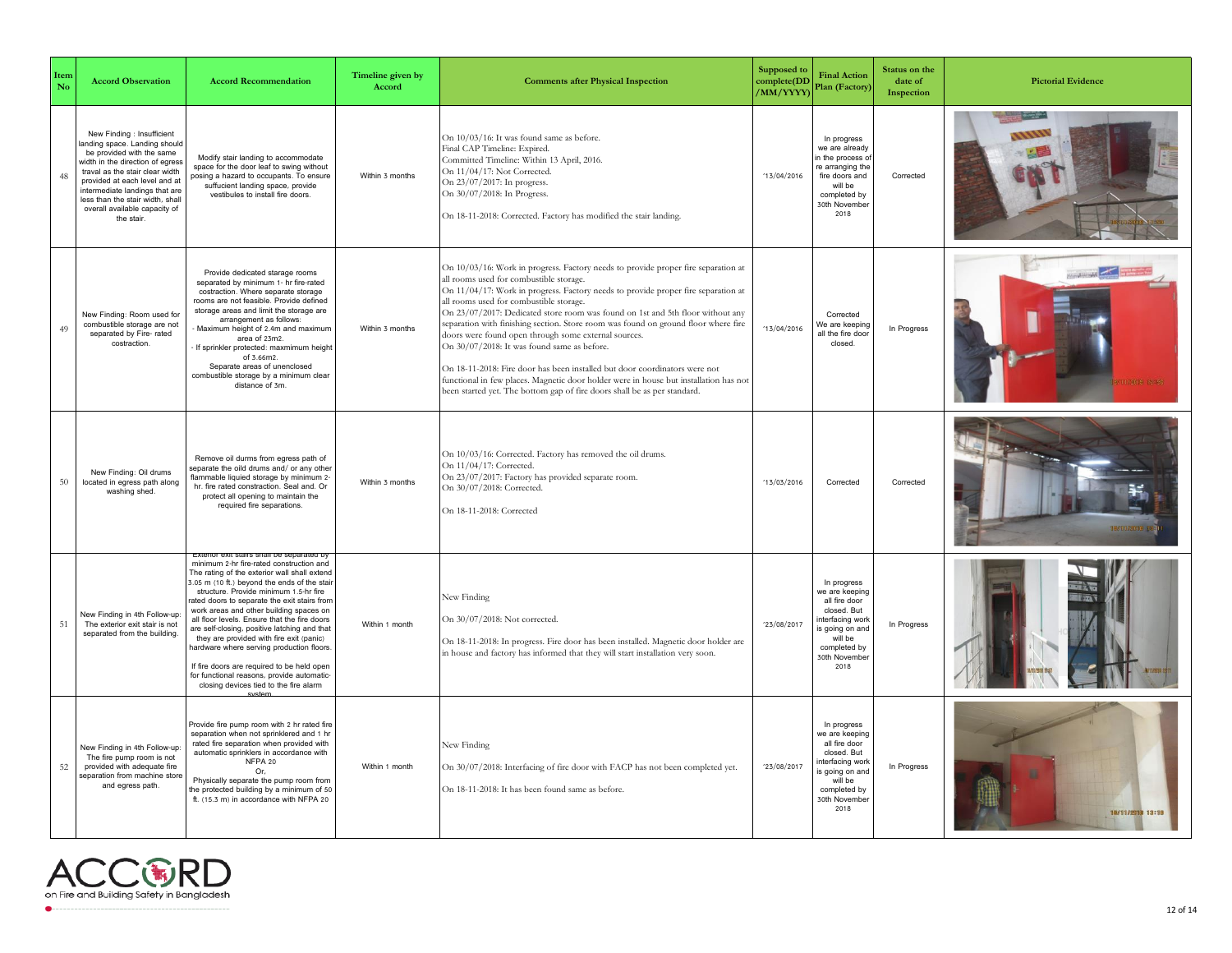| Item<br>No | <b>Accord Observation</b>                                                                                                                                                                                                                                                                                           | <b>Accord Recommendation</b>                                                                                                                                                                                                                                                                                                                                                                                                                                                                                                                                                                                 | Timeline given by<br>Accord | <b>Comments after Physical Inspection</b>                                                                                                                                                                                                                                                                                                                                                                                                                                                                                                                                                                                                                                                                                                                                                      | Supposed to<br>complete(DD<br>/MM/YYYY) | <b>Final Action</b><br>Plan (Factory)                                                                                                                  | Status on the<br>date of<br>Inspection | <b>Pictorial Evidence</b> |
|------------|---------------------------------------------------------------------------------------------------------------------------------------------------------------------------------------------------------------------------------------------------------------------------------------------------------------------|--------------------------------------------------------------------------------------------------------------------------------------------------------------------------------------------------------------------------------------------------------------------------------------------------------------------------------------------------------------------------------------------------------------------------------------------------------------------------------------------------------------------------------------------------------------------------------------------------------------|-----------------------------|------------------------------------------------------------------------------------------------------------------------------------------------------------------------------------------------------------------------------------------------------------------------------------------------------------------------------------------------------------------------------------------------------------------------------------------------------------------------------------------------------------------------------------------------------------------------------------------------------------------------------------------------------------------------------------------------------------------------------------------------------------------------------------------------|-----------------------------------------|--------------------------------------------------------------------------------------------------------------------------------------------------------|----------------------------------------|---------------------------|
| 48         | New Finding : Insufficient<br>anding space. Landing should<br>be provided with the same<br>width in the direction of egress<br>traval as the stair clear width<br>provided at each level and at<br>ntermediate landings that are<br>less than the stair width, shall<br>overall available capacity of<br>the stair. | Modify stair landing to accommodate<br>space for the door leaf to swing without<br>bosing a hazard to occupants. To ensure<br>suffucient landing space, provide<br>vestibules to install fire doors.                                                                                                                                                                                                                                                                                                                                                                                                         | Within 3 months             | On 10/03/16: It was found same as before.<br>Final CAP Timeline: Expired.<br>Committed Timeline: Within 13 April, 2016.<br>On 11/04/17: Not Corrected.<br>On 23/07/2017: In progress.<br>On 30/07/2018: In Progress.<br>On 18-11-2018: Corrected. Factory has modified the stair landing.                                                                                                                                                                                                                                                                                                                                                                                                                                                                                                      | 13/04/2016                              | In progress<br>we are already<br>n the process o<br>re arranging the<br>fire doors and<br>will be<br>completed by<br>30th November<br>2018             | Corrected                              |                           |
| 49         | New Finding: Room used for<br>combustible storage are not<br>separated by Fire-rated<br>costraction                                                                                                                                                                                                                 | Provide dedicated starage rooms<br>separated by minimum 1- hr fire-rated<br>costraction. Where separate storage<br>rooms are not feasible. Provide defined<br>storage areas and limit the storage are<br>arrangement as follows:<br>Maximum height of 2.4m and maximum<br>area of 23m2.<br>If sprinkler protected: maxmimum height<br>of 3.66m2.<br>Separate areas of unenclosed<br>combustible storage by a minimum clear<br>distance of 3m.                                                                                                                                                                | Within 3 months             | On 10/03/16: Work in progress. Factory needs to provide proper fire separation at<br>all rooms used for combustible storage.<br>On 11/04/17: Work in progress. Factory needs to provide proper fire separation at<br>all rooms used for combustible storage.<br>On 23/07/2017: Dedicated store room was found on 1st and 5th floor without any<br>separation with finishing section. Store room was found on ground floor where fire<br>doors were found open through some external sources.<br>On 30/07/2018: It was found same as before.<br>On 18-11-2018: Fire door has been installed but door coordinators were not<br>functional in few places. Magnetic door holder were in house but installation has not<br>been started yet. The bottom gap of fire doors shall be as per standard. | 13/04/2016                              | Corrected<br>We are keeping<br>all the fire door<br>closed                                                                                             | In Progress                            |                           |
| 50         | New Finding: Oil drums<br>located in egress path along<br>washing shed.                                                                                                                                                                                                                                             | Remove oil durms from egress path of<br>separate the oild drums and/ or any other<br>flammable liquied storage by minimum 2-<br>hr. fire rated constraction. Seal and. Or<br>protect all opening to maintain the<br>required fire separations.                                                                                                                                                                                                                                                                                                                                                               | Within 3 months             | On 10/03/16: Corrected. Factory has removed the oil drums.<br>On 11/04/17: Corrected.<br>On 23/07/2017: Factory has provided separate room.<br>On 30/07/2018: Corrected.<br>On 18-11-2018: Corrected                                                                                                                                                                                                                                                                                                                                                                                                                                                                                                                                                                                           | 13/03/2016                              | Corrected                                                                                                                                              | Corrected                              |                           |
| 51         | New Finding in 4th Follow-up:<br>The exterior exit stair is not<br>separated from the building.                                                                                                                                                                                                                     | minimum 2-hr fire-rated construction and<br>The rating of the exterior wall shall extend<br>3.05 m (10 ft.) beyond the ends of the stair<br>structure. Provide minimum 1.5-hr fire<br>rated doors to separate the exit stairs from<br>work areas and other building spaces on<br>all floor levels. Ensure that the fire doors<br>are self-closing, positive latching and that<br>they are provided with fire exit (panic)<br>hardware where serving production floors.<br>If fire doors are required to be held open<br>for functional reasons, provide automatic-<br>closing devices tied to the fire alarm | Within 1 month              | New Finding<br>On 30/07/2018: Not corrected.<br>On 18-11-2018: In progress. Fire door has been installed. Magnetic door holder are<br>in house and factory has informed that they will start installation very soon.                                                                                                                                                                                                                                                                                                                                                                                                                                                                                                                                                                           | '23/08/2017                             | In progress<br>ve are keeping<br>all fire door<br>closed. But<br>nterfacing work<br>s going on and<br>will be<br>completed by<br>30th November<br>2018 | In Progress                            |                           |
| 52         | New Finding in 4th Follow-up:<br>The fire pump room is not<br>provided with adequate fire<br>separation from machine store<br>and egress path.                                                                                                                                                                      | Provide fire pump room with 2 hr rated fire<br>separation when not sprinklered and 1 hr<br>rated fire separation when provided with<br>automatic sprinklers in accordance with<br>NFPA 20<br>Or.<br>Physically separate the pump room from<br>the protected building by a minimum of 50<br>ft. (15.3 m) in accordance with NFPA 20                                                                                                                                                                                                                                                                           | Within 1 month              | New Finding<br>On 30/07/2018: Interfacing of fire door with FACP has not been completed vet.<br>On 18-11-2018: It has been found same as before.                                                                                                                                                                                                                                                                                                                                                                                                                                                                                                                                                                                                                                               | '23/08/2017                             | In progress<br>we are keeping<br>all fire door<br>closed. But<br>nterfacing work<br>s going on and<br>will be<br>completed by<br>30th November<br>2018 | In Progress                            | 18/11/2019 13:19          |

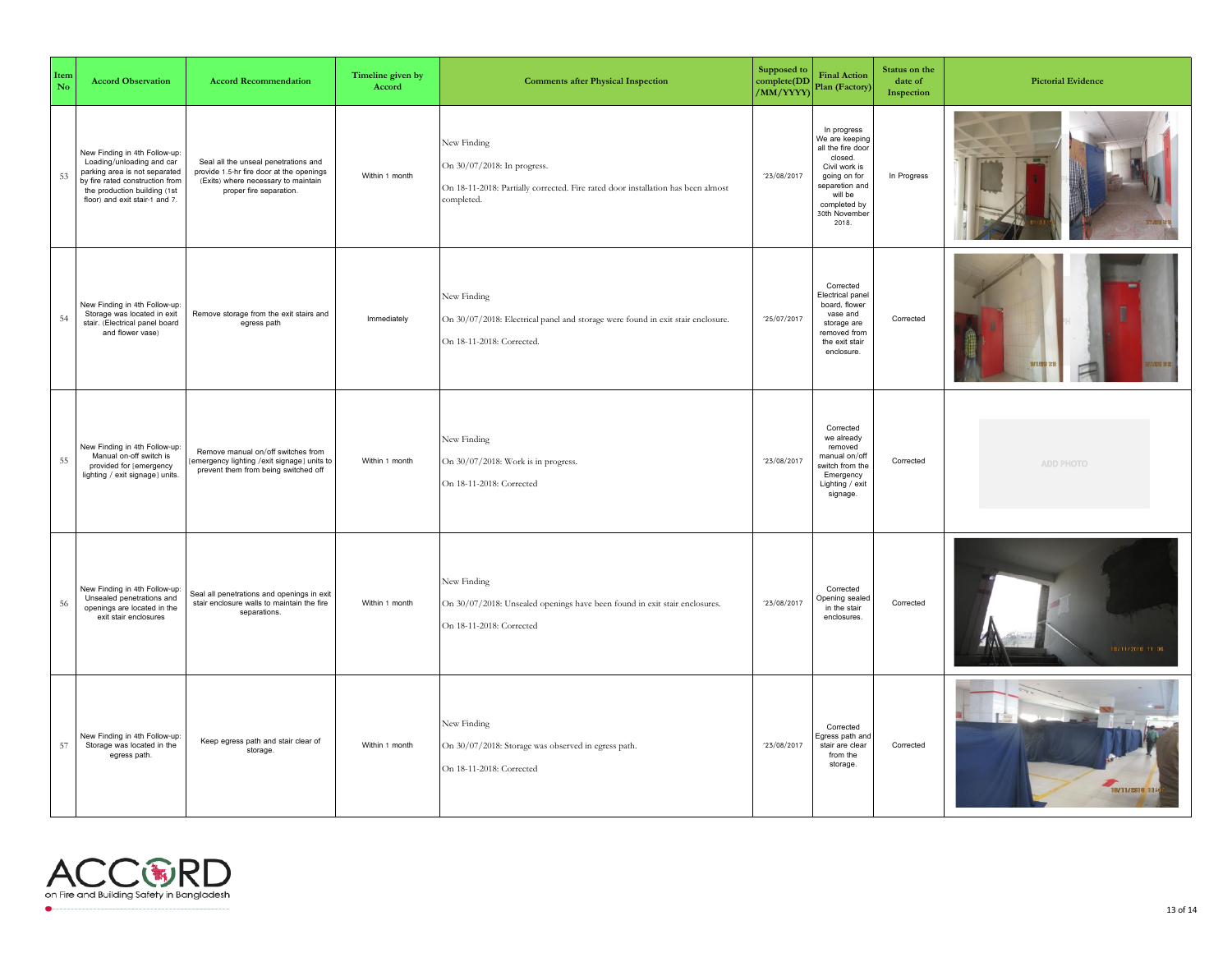| Item<br>No | <b>Accord Observation</b>                                                                                                                                                                        | <b>Accord Recommendation</b>                                                                                                                       | Timeline given by<br>Accord | <b>Comments after Physical Inspection</b>                                                                                                    | <b>Supposed to</b><br>complete(DD<br>/MM/YYYY) | <b>Final Action</b><br>Plan (Factory)                                                                                                                                 | Status on the<br>date of<br>Inspection | <b>Pictorial Evidence</b> |
|------------|--------------------------------------------------------------------------------------------------------------------------------------------------------------------------------------------------|----------------------------------------------------------------------------------------------------------------------------------------------------|-----------------------------|----------------------------------------------------------------------------------------------------------------------------------------------|------------------------------------------------|-----------------------------------------------------------------------------------------------------------------------------------------------------------------------|----------------------------------------|---------------------------|
| 53         | New Finding in 4th Follow-up:<br>Loading/unloading and car<br>parking area is not separated<br>by fire rated construction from<br>the production building (1st<br>floor) and exit stair-1 and 7. | Seal all the unseal penetrations and<br>provide 1.5-hr fire door at the openings<br>(Exits) where necessary to maintain<br>proper fire separation. | Within 1 month              | New Finding<br>On 30/07/2018: In progress.<br>On 18-11-2018: Partially corrected. Fire rated door installation has been almost<br>completed. | '23/08/2017                                    | In progress<br>We are keeping<br>all the fire door<br>closed.<br>Civil work is<br>going on for<br>separetion and<br>will be<br>completed by<br>30th November<br>2018. | In Progress                            |                           |
| 54         | New Finding in 4th Follow-up:<br>Storage was located in exit<br>stair. (Electrical panel board<br>and flower vase)                                                                               | Remove storage from the exit stairs and<br>egress path                                                                                             | Immediately                 | New Finding<br>On 30/07/2018: Electrical panel and storage were found in exit stair enclosure.<br>On 18-11-2018: Corrected.                  | '25/07/2017                                    | Corrected<br>Electrical panel<br>board, flower<br>vase and<br>storage are<br>removed from<br>the exit stair<br>enclosure.                                             | Corrected                              |                           |
| 55         | New Finding in 4th Follow-up:<br>Manual on-off switch is<br>provided for [emergency<br>lighting / exit signage] units.                                                                           | Remove manual on/off switches from<br>[emergency lighting /exit signage] units to<br>prevent them from being switched off                          | Within 1 month              | New Finding<br>On 30/07/2018: Work is in progress.<br>On 18-11-2018: Corrected                                                               | '23/08/2017                                    | Corrected<br>we already<br>removed<br>manual on/off<br>switch from the<br>Emergency<br>Lighting / exit<br>signage.                                                    | Corrected                              | ADD PHOTO                 |
| 56         | New Finding in 4th Follow-up:<br>Unsealed penetrations and<br>openings are located in the<br>exit stair enclosures                                                                               | Seal all penetrations and openings in exit<br>stair enclosure walls to maintain the fire<br>separations.                                           | Within 1 month              | New Finding<br>On 30/07/2018: Unsealed openings have been found in exit stair enclosures.<br>On 18-11-2018: Corrected                        | '23/08/2017                                    | Corrected<br><b>Opening sealed</b><br>in the stair<br>enclosures.                                                                                                     | Corrected                              | 18/11/2018 11:36          |
| 57         | New Finding in 4th Follow-up:<br>Storage was located in the<br>egress path.                                                                                                                      | Keep egress path and stair clear of<br>storage.                                                                                                    | Within 1 month              | New Finding<br>On 30/07/2018: Storage was observed in egress path.<br>On 18-11-2018: Corrected                                               | '23/08/2017                                    | Corrected<br>Egress path and<br>stair are clear<br>from the<br>storage.                                                                                               | Corrected                              | 18/11/2018 11:4           |